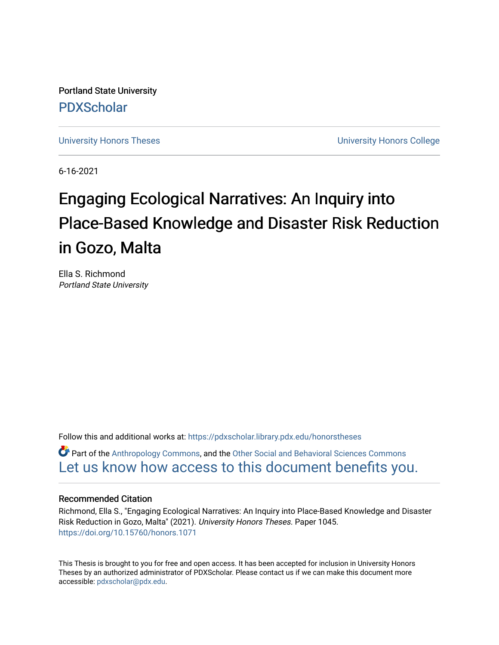Portland State University [PDXScholar](https://pdxscholar.library.pdx.edu/)

[University Honors Theses](https://pdxscholar.library.pdx.edu/honorstheses) **University Honors College** 

6-16-2021

# Engaging Ecological Narratives: An Inquiry into Place-Based Knowledge and Disaster Risk Reduction in Gozo, Malta

Ella S. Richmond Portland State University

Follow this and additional works at: [https://pdxscholar.library.pdx.edu/honorstheses](https://pdxscholar.library.pdx.edu/honorstheses?utm_source=pdxscholar.library.pdx.edu%2Fhonorstheses%2F1045&utm_medium=PDF&utm_campaign=PDFCoverPages) 

Part of the [Anthropology Commons](http://network.bepress.com/hgg/discipline/318?utm_source=pdxscholar.library.pdx.edu%2Fhonorstheses%2F1045&utm_medium=PDF&utm_campaign=PDFCoverPages), and the [Other Social and Behavioral Sciences Commons](http://network.bepress.com/hgg/discipline/437?utm_source=pdxscholar.library.pdx.edu%2Fhonorstheses%2F1045&utm_medium=PDF&utm_campaign=PDFCoverPages)  [Let us know how access to this document benefits you.](http://library.pdx.edu/services/pdxscholar-services/pdxscholar-feedback/) 

#### Recommended Citation

Richmond, Ella S., "Engaging Ecological Narratives: An Inquiry into Place-Based Knowledge and Disaster Risk Reduction in Gozo, Malta" (2021). University Honors Theses. Paper 1045. <https://doi.org/10.15760/honors.1071>

This Thesis is brought to you for free and open access. It has been accepted for inclusion in University Honors Theses by an authorized administrator of PDXScholar. Please contact us if we can make this document more accessible: [pdxscholar@pdx.edu.](mailto:pdxscholar@pdx.edu)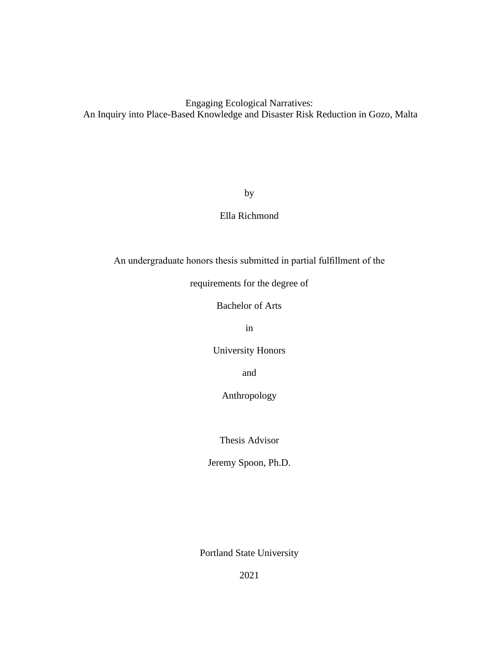# Engaging Ecological Narratives: An Inquiry into Place-Based Knowledge and Disaster Risk Reduction in Gozo, Malta

by

# Ella Richmond

An undergraduate honors thesis submitted in partial fulfillment of the

requirements for the degree of

Bachelor of Arts

in

University Honors

and

Anthropology

Thesis Advisor

Jeremy Spoon, Ph.D.

Portland State University

2021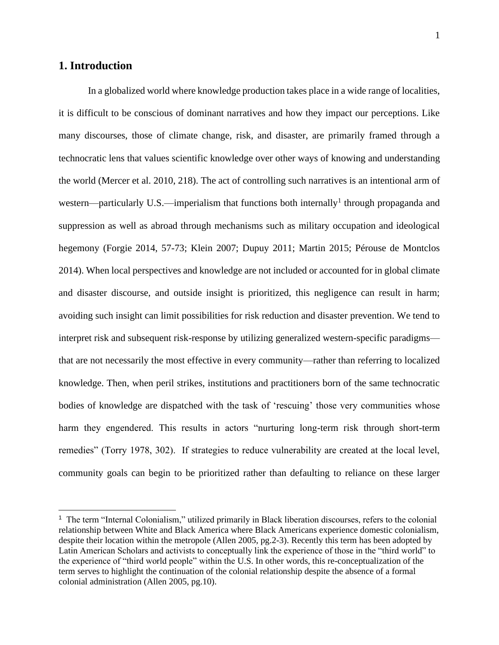# **1. Introduction**

In a globalized world where knowledge production takes place in a wide range of localities, it is difficult to be conscious of dominant narratives and how they impact our perceptions. Like many discourses, those of climate change, risk, and disaster, are primarily framed through a technocratic lens that values scientific knowledge over other ways of knowing and understanding the world (Mercer et al. 2010, 218). The act of controlling such narratives is an intentional arm of western—particularly U.S.—imperialism that functions both internally<sup>1</sup> through propaganda and suppression as well as abroad through mechanisms such as military occupation and ideological hegemony (Forgie 2014, 57-73; Klein 2007; Dupuy 2011; Martin 2015; Pérouse de Montclos 2014). When local perspectives and knowledge are not included or accounted for in global climate and disaster discourse, and outside insight is prioritized, this negligence can result in harm; avoiding such insight can limit possibilities for risk reduction and disaster prevention. We tend to interpret risk and subsequent risk-response by utilizing generalized western-specific paradigms that are not necessarily the most effective in every community—rather than referring to localized knowledge. Then, when peril strikes, institutions and practitioners born of the same technocratic bodies of knowledge are dispatched with the task of 'rescuing' those very communities whose harm they engendered. This results in actors "nurturing long-term risk through short-term remedies" (Torry 1978, 302). If strategies to reduce vulnerability are created at the local level, community goals can begin to be prioritized rather than defaulting to reliance on these larger

<sup>&</sup>lt;sup>1</sup> The term "Internal Colonialism," utilized primarily in Black liberation discourses, refers to the colonial relationship between White and Black America where Black Americans experience domestic colonialism, despite their location within the metropole (Allen 2005, pg.2-3). Recently this term has been adopted by Latin American Scholars and activists to conceptually link the experience of those in the "third world" to the experience of "third world people" within the U.S. In other words, this re-conceptualization of the term serves to highlight the continuation of the colonial relationship despite the absence of a formal colonial administration (Allen 2005, pg.10).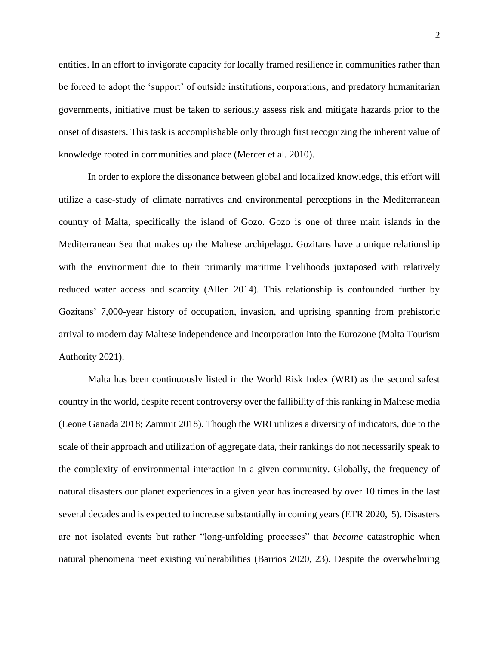entities. In an effort to invigorate capacity for locally framed resilience in communities rather than be forced to adopt the 'support' of outside institutions, corporations, and predatory humanitarian governments, initiative must be taken to seriously assess risk and mitigate hazards prior to the onset of disasters. This task is accomplishable only through first recognizing the inherent value of knowledge rooted in communities and place (Mercer et al. 2010).

In order to explore the dissonance between global and localized knowledge, this effort will utilize a case-study of climate narratives and environmental perceptions in the Mediterranean country of Malta, specifically the island of Gozo. Gozo is one of three main islands in the Mediterranean Sea that makes up the Maltese archipelago. Gozitans have a unique relationship with the environment due to their primarily maritime livelihoods juxtaposed with relatively reduced water access and scarcity (Allen 2014). This relationship is confounded further by Gozitans' 7,000-year history of occupation, invasion, and uprising spanning from prehistoric arrival to modern day Maltese independence and incorporation into the Eurozone (Malta Tourism Authority 2021).

Malta has been continuously listed in the World Risk Index (WRI) as the second safest country in the world, despite recent controversy over the fallibility of this ranking in Maltese media (Leone Ganada 2018; Zammit 2018). Though the WRI utilizes a diversity of indicators, due to the scale of their approach and utilization of aggregate data, their rankings do not necessarily speak to the complexity of environmental interaction in a given community. Globally, the frequency of natural disasters our planet experiences in a given year has increased by over 10 times in the last several decades and is expected to increase substantially in coming years (ETR 2020, 5). Disasters are not isolated events but rather "long-unfolding processes" that *become* catastrophic when natural phenomena meet existing vulnerabilities (Barrios 2020, 23). Despite the overwhelming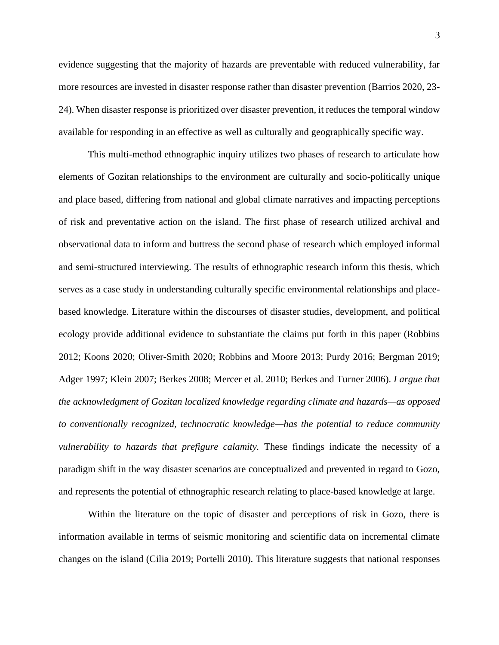evidence suggesting that the majority of hazards are preventable with reduced vulnerability, far more resources are invested in disaster response rather than disaster prevention (Barrios 2020, 23- 24). When disaster response is prioritized over disaster prevention, it reduces the temporal window available for responding in an effective as well as culturally and geographically specific way.

This multi-method ethnographic inquiry utilizes two phases of research to articulate how elements of Gozitan relationships to the environment are culturally and socio-politically unique and place based, differing from national and global climate narratives and impacting perceptions of risk and preventative action on the island. The first phase of research utilized archival and observational data to inform and buttress the second phase of research which employed informal and semi-structured interviewing. The results of ethnographic research inform this thesis, which serves as a case study in understanding culturally specific environmental relationships and placebased knowledge. Literature within the discourses of disaster studies, development, and political ecology provide additional evidence to substantiate the claims put forth in this paper (Robbins 2012; Koons 2020; Oliver-Smith 2020; Robbins and Moore 2013; Purdy 2016; Bergman 2019; Adger 1997; Klein 2007; Berkes 2008; Mercer et al. 2010; Berkes and Turner 2006). *I argue that the acknowledgment of Gozitan localized knowledge regarding climate and hazards—as opposed to conventionally recognized, technocratic knowledge—has the potential to reduce community vulnerability to hazards that prefigure calamity.* These findings indicate the necessity of a paradigm shift in the way disaster scenarios are conceptualized and prevented in regard to Gozo, and represents the potential of ethnographic research relating to place-based knowledge at large.

Within the literature on the topic of disaster and perceptions of risk in Gozo, there is information available in terms of seismic monitoring and scientific data on incremental climate changes on the island (Cilia 2019; Portelli 2010). This literature suggests that national responses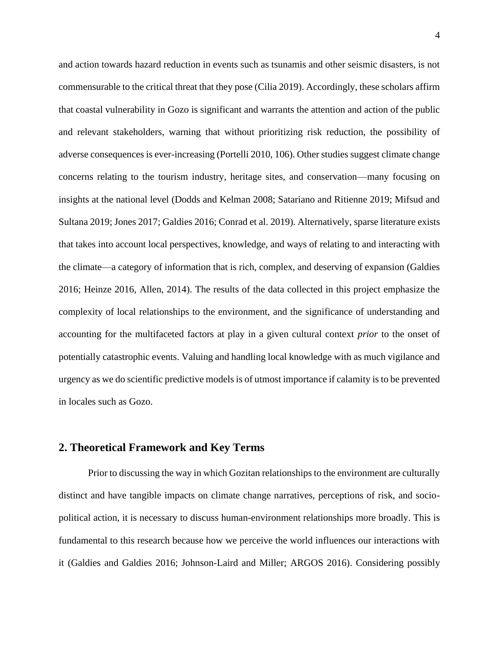and action towards hazard reduction in events such as tsunamis and other seismic disasters, is not commensurable to the critical threat that they pose (Cilia 2019). Accordingly, these scholars affirm that coastal vulnerability in Gozo is significant and warrants the attention and action of the public and relevant stakeholders, warning that without prioritizing risk reduction, the possibility of adverse consequences is ever-increasing (Portelli 2010, 106). Other studies suggest climate change concerns relating to the tourism industry, heritage sites, and conservation—many focusing on insights at the national level (Dodds and Kelman 2008; Satariano and Ritienne 2019; Mifsud and Sultana 2019; Jones 2017; Galdies 2016; Conrad et al. 2019). Alternatively, sparse literature exists that takes into account local perspectives, knowledge, and ways of relating to and interacting with the climate—a category of information that is rich, complex, and deserving of expansion (Galdies 2016; Heinze 2016, Allen, 2014). The results of the data collected in this project emphasize the complexity of local relationships to the environment, and the significance of understanding and accounting for the multifaceted factors at play in a given cultural context *prior* to the onset of potentially catastrophic events. Valuing and handling local knowledge with as much vigilance and urgency as we do scientific predictive models is of utmost importance if calamity is to be prevented in locales such as Gozo.

## **2. Theoretical Framework and Key Terms**

Prior to discussing the way in which Gozitan relationships to the environment are culturally distinct and have tangible impacts on climate change narratives, perceptions of risk, and sociopolitical action, it is necessary to discuss human-environment relationships more broadly. This is fundamental to this research because how we perceive the world influences our interactions with it (Galdies and Galdies 2016; Johnson-Laird and Miller; ARGOS 2016). Considering possibly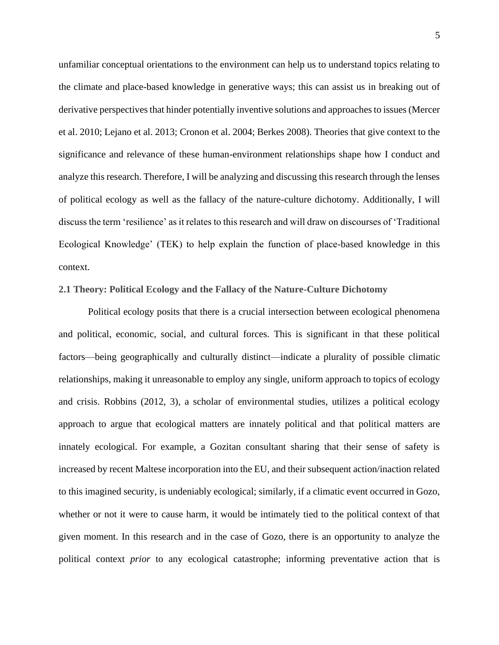unfamiliar conceptual orientations to the environment can help us to understand topics relating to the climate and place-based knowledge in generative ways; this can assist us in breaking out of derivative perspectives that hinder potentially inventive solutions and approaches to issues (Mercer et al. 2010; Lejano et al. 2013; Cronon et al. 2004; Berkes 2008). Theories that give context to the significance and relevance of these human-environment relationships shape how I conduct and analyze this research. Therefore, I will be analyzing and discussing this research through the lenses of political ecology as well as the fallacy of the nature-culture dichotomy. Additionally, I will discuss the term 'resilience' as it relates to this research and will draw on discourses of 'Traditional Ecological Knowledge' (TEK) to help explain the function of place-based knowledge in this context.

## **2.1 Theory: Political Ecology and the Fallacy of the Nature-Culture Dichotomy**

Political ecology posits that there is a crucial intersection between ecological phenomena and political, economic, social, and cultural forces. This is significant in that these political factors—being geographically and culturally distinct—indicate a plurality of possible climatic relationships, making it unreasonable to employ any single, uniform approach to topics of ecology and crisis. Robbins (2012, 3), a scholar of environmental studies, utilizes a political ecology approach to argue that ecological matters are innately political and that political matters are innately ecological. For example, a Gozitan consultant sharing that their sense of safety is increased by recent Maltese incorporation into the EU, and their subsequent action/inaction related to this imagined security, is undeniably ecological; similarly, if a climatic event occurred in Gozo, whether or not it were to cause harm, it would be intimately tied to the political context of that given moment. In this research and in the case of Gozo, there is an opportunity to analyze the political context *prior* to any ecological catastrophe; informing preventative action that is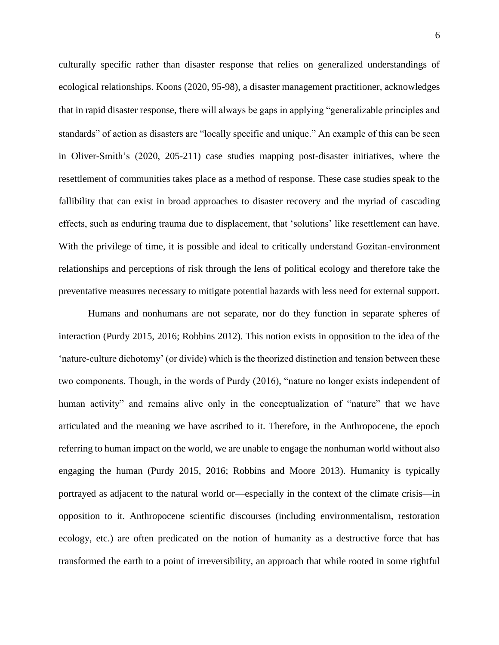culturally specific rather than disaster response that relies on generalized understandings of ecological relationships. Koons (2020, 95-98), a disaster management practitioner, acknowledges that in rapid disaster response, there will always be gaps in applying "generalizable principles and standards" of action as disasters are "locally specific and unique." An example of this can be seen in Oliver-Smith's (2020, 205-211) case studies mapping post-disaster initiatives, where the resettlement of communities takes place as a method of response. These case studies speak to the fallibility that can exist in broad approaches to disaster recovery and the myriad of cascading effects, such as enduring trauma due to displacement, that 'solutions' like resettlement can have. With the privilege of time, it is possible and ideal to critically understand Gozitan-environment relationships and perceptions of risk through the lens of political ecology and therefore take the preventative measures necessary to mitigate potential hazards with less need for external support.

Humans and nonhumans are not separate, nor do they function in separate spheres of interaction (Purdy 2015, 2016; Robbins 2012). This notion exists in opposition to the idea of the 'nature-culture dichotomy' (or divide) which is the theorized distinction and tension between these two components. Though, in the words of Purdy (2016), "nature no longer exists independent of human activity" and remains alive only in the conceptualization of "nature" that we have articulated and the meaning we have ascribed to it. Therefore, in the Anthropocene, the epoch referring to human impact on the world, we are unable to engage the nonhuman world without also engaging the human (Purdy 2015, 2016; Robbins and Moore 2013). Humanity is typically portrayed as adjacent to the natural world or—especially in the context of the climate crisis—in opposition to it. Anthropocene scientific discourses (including environmentalism, restoration ecology, etc.) are often predicated on the notion of humanity as a destructive force that has transformed the earth to a point of irreversibility, an approach that while rooted in some rightful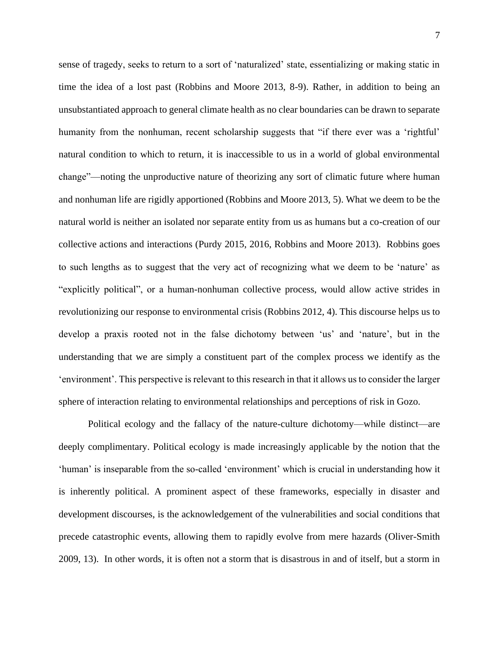sense of tragedy, seeks to return to a sort of 'naturalized' state, essentializing or making static in time the idea of a lost past (Robbins and Moore 2013, 8-9). Rather, in addition to being an unsubstantiated approach to general climate health as no clear boundaries can be drawn to separate humanity from the nonhuman, recent scholarship suggests that "if there ever was a 'rightful' natural condition to which to return, it is inaccessible to us in a world of global environmental change"—noting the unproductive nature of theorizing any sort of climatic future where human and nonhuman life are rigidly apportioned (Robbins and Moore 2013, 5). What we deem to be the natural world is neither an isolated nor separate entity from us as humans but a co-creation of our collective actions and interactions (Purdy 2015, 2016, Robbins and Moore 2013). Robbins goes to such lengths as to suggest that the very act of recognizing what we deem to be 'nature' as "explicitly political", or a human-nonhuman collective process, would allow active strides in revolutionizing our response to environmental crisis (Robbins 2012, 4). This discourse helps us to develop a praxis rooted not in the false dichotomy between 'us' and 'nature', but in the understanding that we are simply a constituent part of the complex process we identify as the 'environment'. This perspective is relevant to this research in that it allows us to consider the larger sphere of interaction relating to environmental relationships and perceptions of risk in Gozo.

Political ecology and the fallacy of the nature-culture dichotomy—while distinct—are deeply complimentary. Political ecology is made increasingly applicable by the notion that the 'human' is inseparable from the so-called 'environment' which is crucial in understanding how it is inherently political. A prominent aspect of these frameworks, especially in disaster and development discourses, is the acknowledgement of the vulnerabilities and social conditions that precede catastrophic events, allowing them to rapidly evolve from mere hazards (Oliver-Smith 2009, 13). In other words, it is often not a storm that is disastrous in and of itself, but a storm in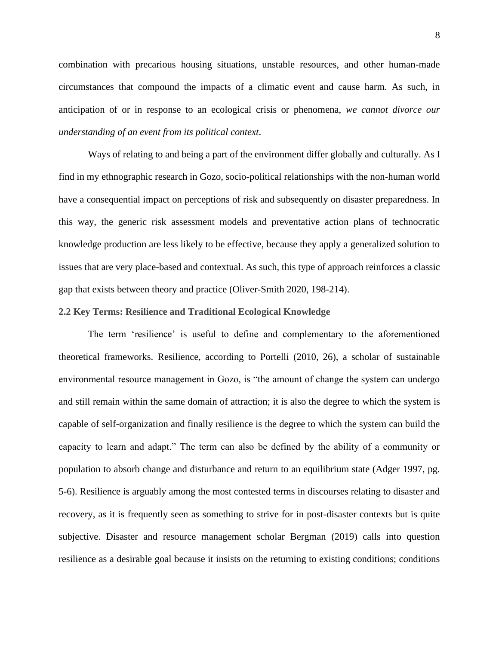combination with precarious housing situations, unstable resources, and other human-made circumstances that compound the impacts of a climatic event and cause harm. As such, in anticipation of or in response to an ecological crisis or phenomena, *we cannot divorce our understanding of an event from its political context*.

Ways of relating to and being a part of the environment differ globally and culturally. As I find in my ethnographic research in Gozo, socio-political relationships with the non-human world have a consequential impact on perceptions of risk and subsequently on disaster preparedness. In this way, the generic risk assessment models and preventative action plans of technocratic knowledge production are less likely to be effective, because they apply a generalized solution to issues that are very place-based and contextual. As such, this type of approach reinforces a classic gap that exists between theory and practice (Oliver-Smith 2020, 198-214).

#### **2.2 Key Terms: Resilience and Traditional Ecological Knowledge**

The term 'resilience' is useful to define and complementary to the aforementioned theoretical frameworks. Resilience, according to Portelli (2010, 26), a scholar of sustainable environmental resource management in Gozo, is "the amount of change the system can undergo and still remain within the same domain of attraction; it is also the degree to which the system is capable of self-organization and finally resilience is the degree to which the system can build the capacity to learn and adapt." The term can also be defined by the ability of a community or population to absorb change and disturbance and return to an equilibrium state (Adger 1997, pg. 5-6). Resilience is arguably among the most contested terms in discourses relating to disaster and recovery, as it is frequently seen as something to strive for in post-disaster contexts but is quite subjective. Disaster and resource management scholar Bergman (2019) calls into question resilience as a desirable goal because it insists on the returning to existing conditions; conditions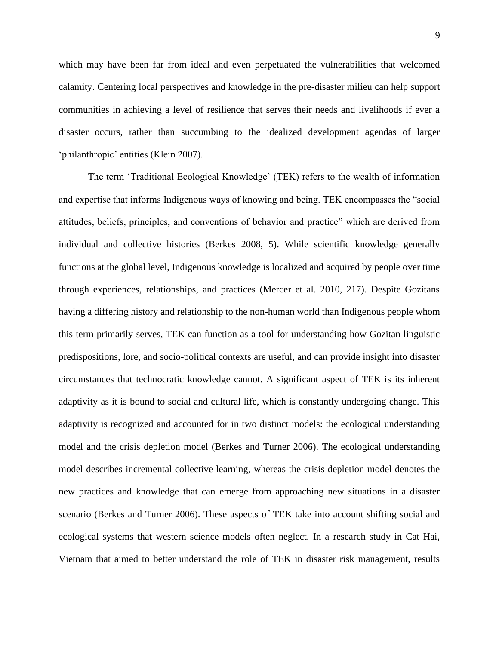which may have been far from ideal and even perpetuated the vulnerabilities that welcomed calamity. Centering local perspectives and knowledge in the pre-disaster milieu can help support communities in achieving a level of resilience that serves their needs and livelihoods if ever a disaster occurs, rather than succumbing to the idealized development agendas of larger 'philanthropic' entities (Klein 2007).

The term 'Traditional Ecological Knowledge' (TEK) refers to the wealth of information and expertise that informs Indigenous ways of knowing and being. TEK encompasses the "social attitudes, beliefs, principles, and conventions of behavior and practice" which are derived from individual and collective histories (Berkes 2008, 5). While scientific knowledge generally functions at the global level, Indigenous knowledge is localized and acquired by people over time through experiences, relationships, and practices (Mercer et al. 2010, 217). Despite Gozitans having a differing history and relationship to the non-human world than Indigenous people whom this term primarily serves, TEK can function as a tool for understanding how Gozitan linguistic predispositions, lore, and socio-political contexts are useful, and can provide insight into disaster circumstances that technocratic knowledge cannot. A significant aspect of TEK is its inherent adaptivity as it is bound to social and cultural life, which is constantly undergoing change. This adaptivity is recognized and accounted for in two distinct models: the ecological understanding model and the crisis depletion model (Berkes and Turner 2006). The ecological understanding model describes incremental collective learning, whereas the crisis depletion model denotes the new practices and knowledge that can emerge from approaching new situations in a disaster scenario (Berkes and Turner 2006). These aspects of TEK take into account shifting social and ecological systems that western science models often neglect. In a research study in Cat Hai, Vietnam that aimed to better understand the role of TEK in disaster risk management, results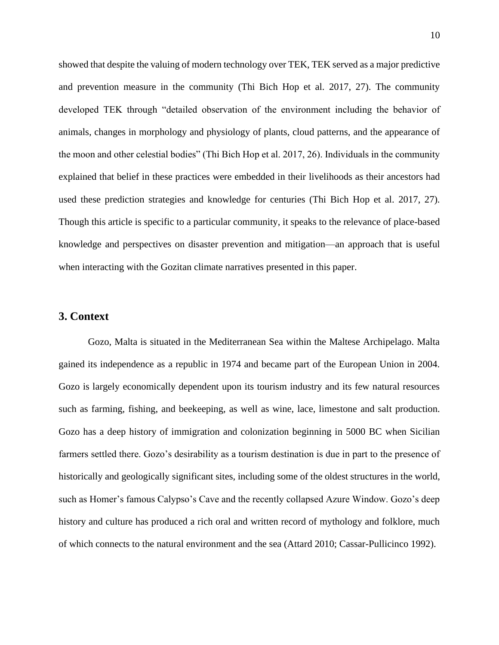showed that despite the valuing of modern technology over TEK, TEK served as a major predictive and prevention measure in the community (Thi Bich Hop et al. 2017, 27). The community developed TEK through "detailed observation of the environment including the behavior of animals, changes in morphology and physiology of plants, cloud patterns, and the appearance of the moon and other celestial bodies" (Thi Bich Hop et al. 2017, 26). Individuals in the community explained that belief in these practices were embedded in their livelihoods as their ancestors had used these prediction strategies and knowledge for centuries (Thi Bich Hop et al. 2017, 27). Though this article is specific to a particular community, it speaks to the relevance of place-based knowledge and perspectives on disaster prevention and mitigation—an approach that is useful when interacting with the Gozitan climate narratives presented in this paper.

## **3. Context**

Gozo, Malta is situated in the Mediterranean Sea within the Maltese Archipelago. Malta gained its independence as a republic in 1974 and became part of the European Union in 2004. Gozo is largely economically dependent upon its tourism industry and its few natural resources such as farming, fishing, and beekeeping, as well as wine, lace, limestone and salt production. Gozo has a deep history of immigration and colonization beginning in 5000 BC when Sicilian farmers settled there. Gozo's desirability as a tourism destination is due in part to the presence of historically and geologically significant sites, including some of the oldest structures in the world, such as Homer's famous Calypso's Cave and the recently collapsed Azure Window. Gozo's deep history and culture has produced a rich oral and written record of mythology and folklore, much of which connects to the natural environment and the sea (Attard 2010; Cassar-Pullicinco 1992).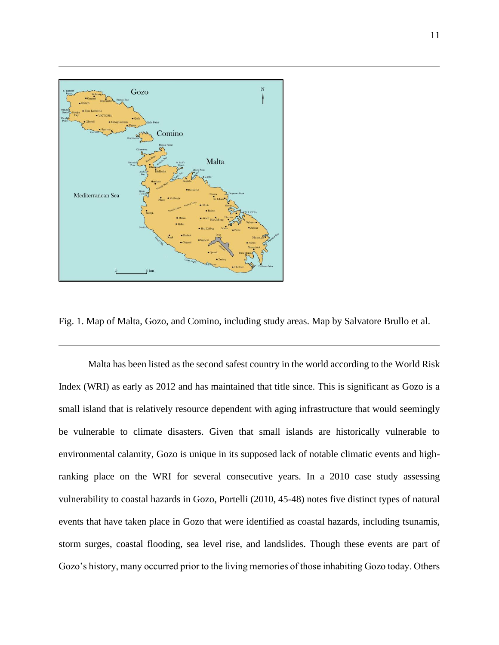

Fig. 1. Map of Malta, Gozo, and Comino, including study areas. Map by Salvatore Brullo et al.

Malta has been listed as the second safest country in the world according to the World Risk Index (WRI) as early as 2012 and has maintained that title since. This is significant as Gozo is a small island that is relatively resource dependent with aging infrastructure that would seemingly be vulnerable to climate disasters. Given that small islands are historically vulnerable to environmental calamity, Gozo is unique in its supposed lack of notable climatic events and highranking place on the WRI for several consecutive years. In a 2010 case study assessing vulnerability to coastal hazards in Gozo, Portelli (2010, 45-48) notes five distinct types of natural events that have taken place in Gozo that were identified as coastal hazards, including tsunamis, storm surges, coastal flooding, sea level rise, and landslides. Though these events are part of Gozo's history, many occurred prior to the living memories of those inhabiting Gozo today. Others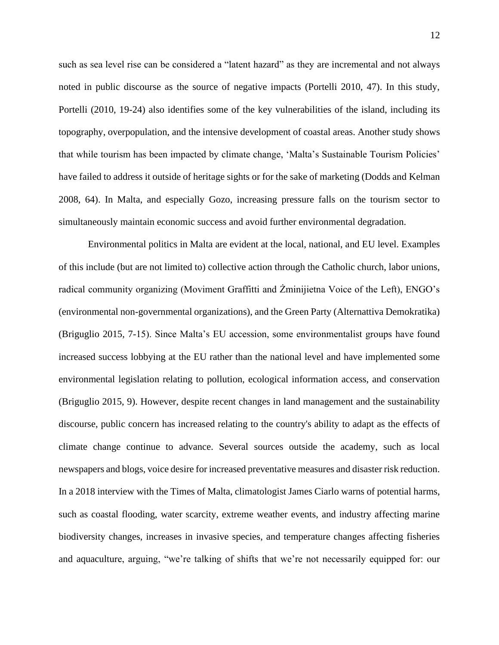such as sea level rise can be considered a "latent hazard" as they are incremental and not always noted in public discourse as the source of negative impacts (Portelli 2010, 47). In this study, Portelli (2010, 19-24) also identifies some of the key vulnerabilities of the island, including its topography, overpopulation, and the intensive development of coastal areas. Another study shows that while tourism has been impacted by climate change, 'Malta's Sustainable Tourism Policies' have failed to address it outside of heritage sights or for the sake of marketing (Dodds and Kelman 2008, 64). In Malta, and especially Gozo, increasing pressure falls on the tourism sector to simultaneously maintain economic success and avoid further environmental degradation.

Environmental politics in Malta are evident at the local, national, and EU level. Examples of this include (but are not limited to) collective action through the Catholic church, labor unions, radical community organizing (Moviment Graffitti and Żminijietna Voice of the Left), ENGO's (environmental non-governmental organizations), and the Green Party (Alternattiva Demokratika) (Briguglio 2015, 7-15). Since Malta's EU accession, some environmentalist groups have found increased success lobbying at the EU rather than the national level and have implemented some environmental legislation relating to pollution, ecological information access, and conservation (Briguglio 2015, 9). However, despite recent changes in land management and the sustainability discourse, public concern has increased relating to the country's ability to adapt as the effects of climate change continue to advance. Several sources outside the academy, such as local newspapers and blogs, voice desire for increased preventative measures and disaster risk reduction. In a 2018 interview with the Times of Malta, climatologist James Ciarlo warns of potential harms, such as coastal flooding, water scarcity, extreme weather events, and industry affecting marine biodiversity changes, increases in invasive species, and temperature changes affecting fisheries and aquaculture, arguing, "we're talking of shifts that we're not necessarily equipped for: our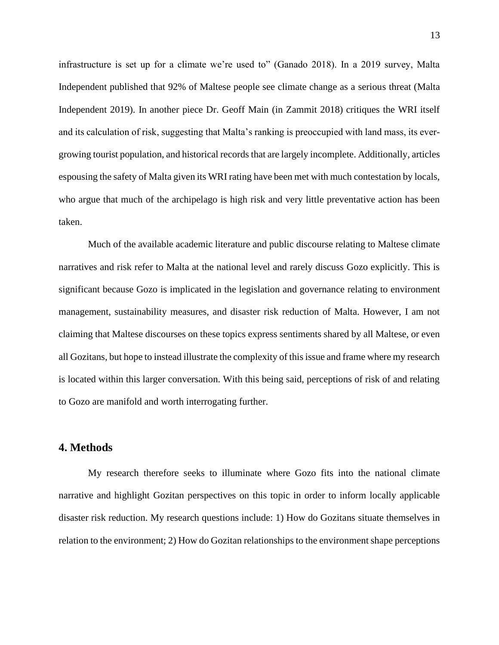infrastructure is set up for a climate we're used to" (Ganado 2018). In a 2019 survey, Malta Independent published that 92% of Maltese people see climate change as a serious threat (Malta Independent 2019). In another piece Dr. Geoff Main (in Zammit 2018) critiques the WRI itself and its calculation of risk, suggesting that Malta's ranking is preoccupied with land mass, its evergrowing tourist population, and historical records that are largely incomplete. Additionally, articles espousing the safety of Malta given its WRI rating have been met with much contestation by locals, who argue that much of the archipelago is high risk and very little preventative action has been taken.

Much of the available academic literature and public discourse relating to Maltese climate narratives and risk refer to Malta at the national level and rarely discuss Gozo explicitly. This is significant because Gozo is implicated in the legislation and governance relating to environment management, sustainability measures, and disaster risk reduction of Malta. However, I am not claiming that Maltese discourses on these topics express sentiments shared by all Maltese, or even all Gozitans, but hope to instead illustrate the complexity of this issue and frame where my research is located within this larger conversation. With this being said, perceptions of risk of and relating to Gozo are manifold and worth interrogating further.

# **4. Methods**

My research therefore seeks to illuminate where Gozo fits into the national climate narrative and highlight Gozitan perspectives on this topic in order to inform locally applicable disaster risk reduction. My research questions include: 1) How do Gozitans situate themselves in relation to the environment; 2) How do Gozitan relationships to the environment shape perceptions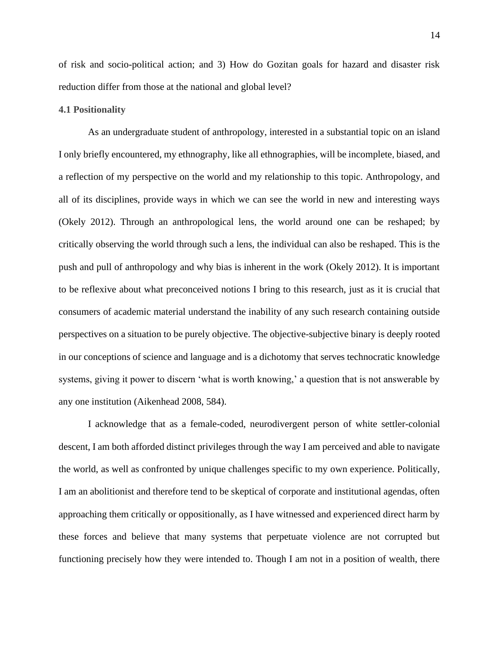of risk and socio-political action; and 3) How do Gozitan goals for hazard and disaster risk reduction differ from those at the national and global level?

#### **4.1 Positionality**

As an undergraduate student of anthropology, interested in a substantial topic on an island I only briefly encountered, my ethnography, like all ethnographies, will be incomplete, biased, and a reflection of my perspective on the world and my relationship to this topic. Anthropology, and all of its disciplines, provide ways in which we can see the world in new and interesting ways (Okely 2012). Through an anthropological lens, the world around one can be reshaped; by critically observing the world through such a lens, the individual can also be reshaped. This is the push and pull of anthropology and why bias is inherent in the work (Okely 2012). It is important to be reflexive about what preconceived notions I bring to this research, just as it is crucial that consumers of academic material understand the inability of any such research containing outside perspectives on a situation to be purely objective. The objective-subjective binary is deeply rooted in our conceptions of science and language and is a dichotomy that serves technocratic knowledge systems, giving it power to discern 'what is worth knowing,' a question that is not answerable by any one institution (Aikenhead 2008, 584).

I acknowledge that as a female-coded, neurodivergent person of white settler-colonial descent, I am both afforded distinct privileges through the way I am perceived and able to navigate the world, as well as confronted by unique challenges specific to my own experience. Politically, I am an abolitionist and therefore tend to be skeptical of corporate and institutional agendas, often approaching them critically or oppositionally, as I have witnessed and experienced direct harm by these forces and believe that many systems that perpetuate violence are not corrupted but functioning precisely how they were intended to. Though I am not in a position of wealth, there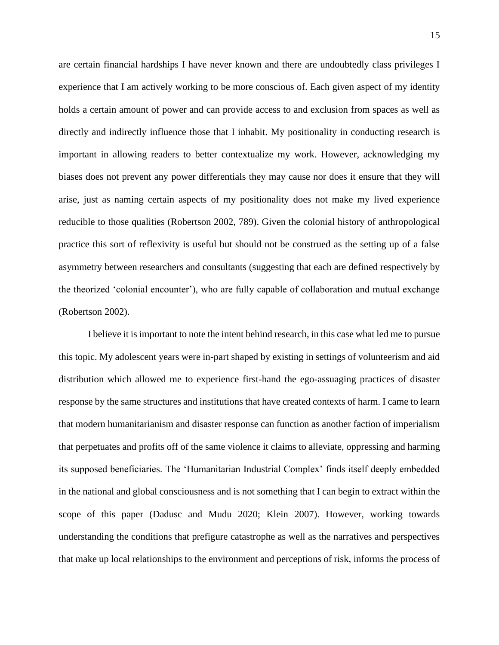are certain financial hardships I have never known and there are undoubtedly class privileges I experience that I am actively working to be more conscious of. Each given aspect of my identity holds a certain amount of power and can provide access to and exclusion from spaces as well as directly and indirectly influence those that I inhabit. My positionality in conducting research is important in allowing readers to better contextualize my work. However, acknowledging my biases does not prevent any power differentials they may cause nor does it ensure that they will arise, just as naming certain aspects of my positionality does not make my lived experience reducible to those qualities (Robertson 2002, 789). Given the colonial history of anthropological practice this sort of reflexivity is useful but should not be construed as the setting up of a false asymmetry between researchers and consultants (suggesting that each are defined respectively by the theorized 'colonial encounter'), who are fully capable of collaboration and mutual exchange (Robertson 2002).

I believe it is important to note the intent behind research, in this case what led me to pursue this topic. My adolescent years were in-part shaped by existing in settings of volunteerism and aid distribution which allowed me to experience first-hand the ego-assuaging practices of disaster response by the same structures and institutions that have created contexts of harm. I came to learn that modern humanitarianism and disaster response can function as another faction of imperialism that perpetuates and profits off of the same violence it claims to alleviate, oppressing and harming its supposed beneficiaries. The 'Humanitarian Industrial Complex' finds itself deeply embedded in the national and global consciousness and is not something that I can begin to extract within the scope of this paper (Dadusc and Mudu 2020; Klein 2007). However, working towards understanding the conditions that prefigure catastrophe as well as the narratives and perspectives that make up local relationships to the environment and perceptions of risk, informs the process of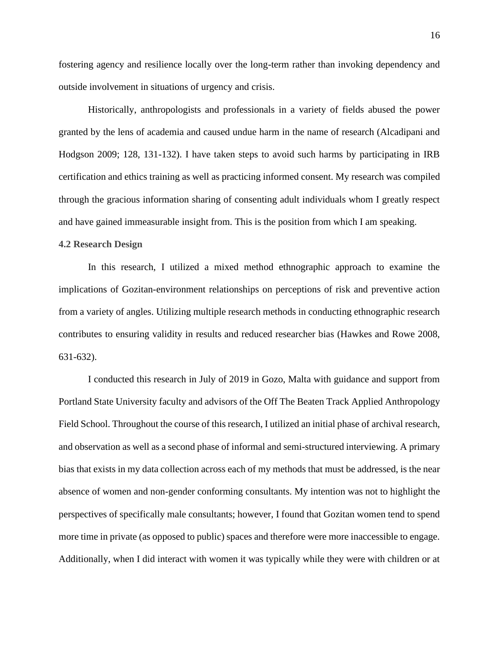fostering agency and resilience locally over the long-term rather than invoking dependency and outside involvement in situations of urgency and crisis.

Historically, anthropologists and professionals in a variety of fields abused the power granted by the lens of academia and caused undue harm in the name of research (Alcadipani and Hodgson 2009; 128, 131-132). I have taken steps to avoid such harms by participating in IRB certification and ethics training as well as practicing informed consent. My research was compiled through the gracious information sharing of consenting adult individuals whom I greatly respect and have gained immeasurable insight from. This is the position from which I am speaking.

## **4.2 Research Design**

In this research, I utilized a mixed method ethnographic approach to examine the implications of Gozitan-environment relationships on perceptions of risk and preventive action from a variety of angles. Utilizing multiple research methods in conducting ethnographic research contributes to ensuring validity in results and reduced researcher bias (Hawkes and Rowe 2008, 631-632).

I conducted this research in July of 2019 in Gozo, Malta with guidance and support from Portland State University faculty and advisors of the Off The Beaten Track Applied Anthropology Field School. Throughout the course of this research, I utilized an initial phase of archival research, and observation as well as a second phase of informal and semi-structured interviewing. A primary bias that exists in my data collection across each of my methods that must be addressed, is the near absence of women and non-gender conforming consultants. My intention was not to highlight the perspectives of specifically male consultants; however, I found that Gozitan women tend to spend more time in private (as opposed to public) spaces and therefore were more inaccessible to engage. Additionally, when I did interact with women it was typically while they were with children or at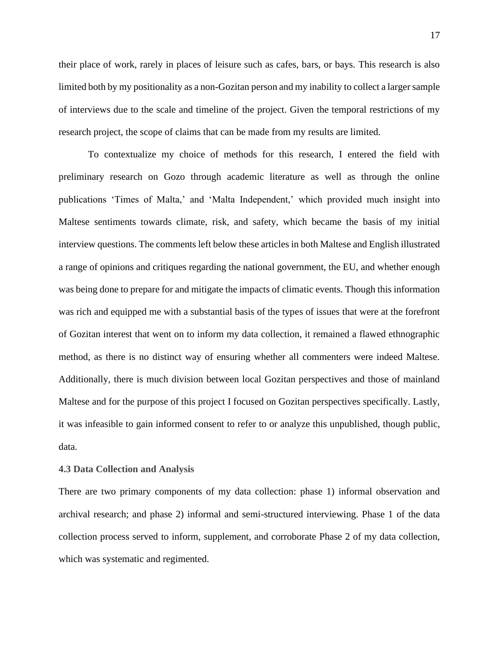their place of work, rarely in places of leisure such as cafes, bars, or bays. This research is also limited both by my positionality as a non-Gozitan person and my inability to collect a larger sample of interviews due to the scale and timeline of the project. Given the temporal restrictions of my research project, the scope of claims that can be made from my results are limited.

To contextualize my choice of methods for this research, I entered the field with preliminary research on Gozo through academic literature as well as through the online publications 'Times of Malta,' and 'Malta Independent,' which provided much insight into Maltese sentiments towards climate, risk, and safety, which became the basis of my initial interview questions. The comments left below these articles in both Maltese and English illustrated a range of opinions and critiques regarding the national government, the EU, and whether enough was being done to prepare for and mitigate the impacts of climatic events. Though this information was rich and equipped me with a substantial basis of the types of issues that were at the forefront of Gozitan interest that went on to inform my data collection, it remained a flawed ethnographic method, as there is no distinct way of ensuring whether all commenters were indeed Maltese. Additionally, there is much division between local Gozitan perspectives and those of mainland Maltese and for the purpose of this project I focused on Gozitan perspectives specifically. Lastly, it was infeasible to gain informed consent to refer to or analyze this unpublished, though public, data.

#### **4.3 Data Collection and Analysis**

There are two primary components of my data collection: phase 1) informal observation and archival research; and phase 2) informal and semi-structured interviewing. Phase 1 of the data collection process served to inform, supplement, and corroborate Phase 2 of my data collection, which was systematic and regimented.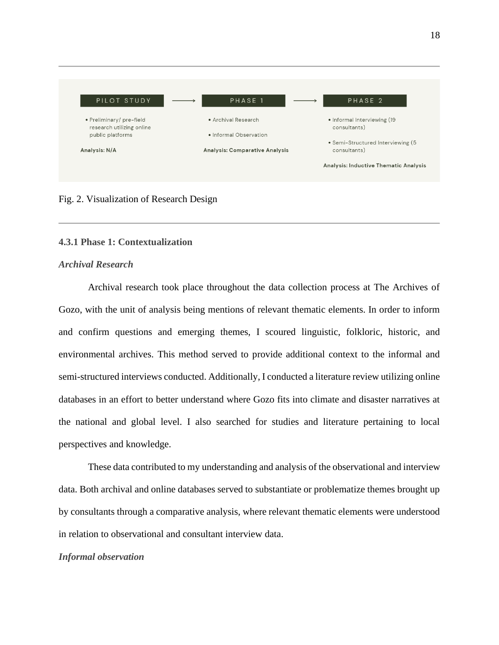

## Fig. 2. Visualization of Research Design

## **4.3.1 Phase 1: Contextualization**

## *Archival Research*

Archival research took place throughout the data collection process at The Archives of Gozo, with the unit of analysis being mentions of relevant thematic elements. In order to inform and confirm questions and emerging themes, I scoured linguistic, folkloric, historic, and environmental archives. This method served to provide additional context to the informal and semi-structured interviews conducted. Additionally, I conducted a literature review utilizing online databases in an effort to better understand where Gozo fits into climate and disaster narratives at the national and global level. I also searched for studies and literature pertaining to local perspectives and knowledge.

These data contributed to my understanding and analysis of the observational and interview data. Both archival and online databases served to substantiate or problematize themes brought up by consultants through a comparative analysis, where relevant thematic elements were understood in relation to observational and consultant interview data.

#### *Informal observation*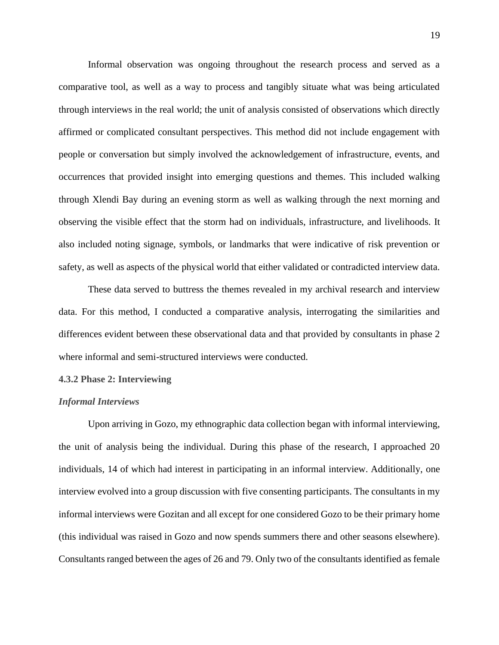Informal observation was ongoing throughout the research process and served as a comparative tool, as well as a way to process and tangibly situate what was being articulated through interviews in the real world; the unit of analysis consisted of observations which directly affirmed or complicated consultant perspectives. This method did not include engagement with people or conversation but simply involved the acknowledgement of infrastructure, events, and occurrences that provided insight into emerging questions and themes. This included walking through Xlendi Bay during an evening storm as well as walking through the next morning and observing the visible effect that the storm had on individuals, infrastructure, and livelihoods. It also included noting signage, symbols, or landmarks that were indicative of risk prevention or safety, as well as aspects of the physical world that either validated or contradicted interview data.

These data served to buttress the themes revealed in my archival research and interview data. For this method, I conducted a comparative analysis, interrogating the similarities and differences evident between these observational data and that provided by consultants in phase 2 where informal and semi-structured interviews were conducted.

#### **4.3.2 Phase 2: Interviewing**

## *Informal Interviews*

Upon arriving in Gozo, my ethnographic data collection began with informal interviewing, the unit of analysis being the individual. During this phase of the research, I approached 20 individuals, 14 of which had interest in participating in an informal interview. Additionally, one interview evolved into a group discussion with five consenting participants. The consultants in my informal interviews were Gozitan and all except for one considered Gozo to be their primary home (this individual was raised in Gozo and now spends summers there and other seasons elsewhere). Consultants ranged between the ages of 26 and 79. Only two of the consultants identified as female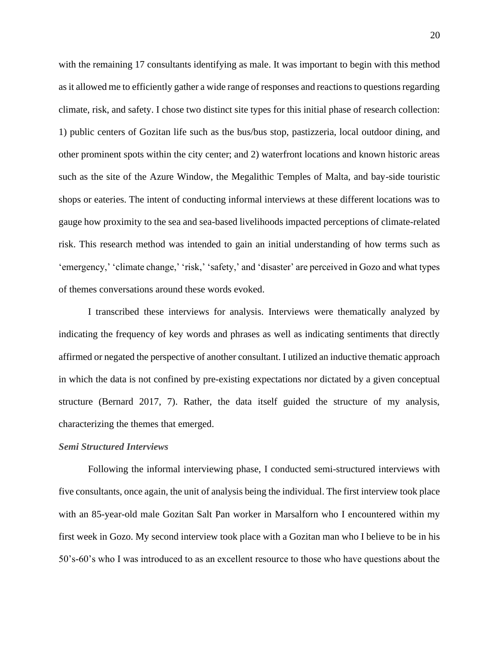with the remaining 17 consultants identifying as male. It was important to begin with this method as it allowed me to efficiently gather a wide range of responses and reactions to questions regarding climate, risk, and safety. I chose two distinct site types for this initial phase of research collection: 1) public centers of Gozitan life such as the bus/bus stop, pastizzeria, local outdoor dining, and other prominent spots within the city center; and 2) waterfront locations and known historic areas such as the site of the Azure Window, the Megalithic Temples of Malta, and bay-side touristic shops or eateries. The intent of conducting informal interviews at these different locations was to gauge how proximity to the sea and sea-based livelihoods impacted perceptions of climate-related risk. This research method was intended to gain an initial understanding of how terms such as 'emergency,' 'climate change,' 'risk,' 'safety,' and 'disaster' are perceived in Gozo and what types of themes conversations around these words evoked.

I transcribed these interviews for analysis. Interviews were thematically analyzed by indicating the frequency of key words and phrases as well as indicating sentiments that directly affirmed or negated the perspective of another consultant. I utilized an inductive thematic approach in which the data is not confined by pre-existing expectations nor dictated by a given conceptual structure (Bernard 2017, 7). Rather, the data itself guided the structure of my analysis, characterizing the themes that emerged.

#### *Semi Structured Interviews*

Following the informal interviewing phase, I conducted semi-structured interviews with five consultants, once again, the unit of analysis being the individual. The first interview took place with an 85-year-old male Gozitan Salt Pan worker in Marsalforn who I encountered within my first week in Gozo. My second interview took place with a Gozitan man who I believe to be in his 50's-60's who I was introduced to as an excellent resource to those who have questions about the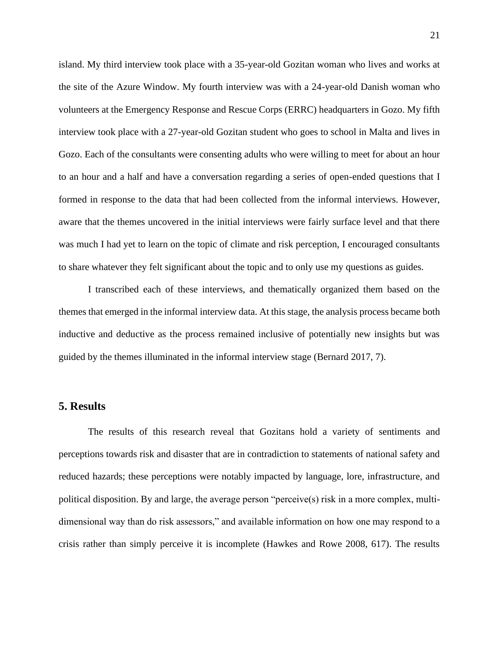island. My third interview took place with a 35-year-old Gozitan woman who lives and works at the site of the Azure Window. My fourth interview was with a 24-year-old Danish woman who volunteers at the Emergency Response and Rescue Corps (ERRC) headquarters in Gozo. My fifth interview took place with a 27-year-old Gozitan student who goes to school in Malta and lives in Gozo. Each of the consultants were consenting adults who were willing to meet for about an hour to an hour and a half and have a conversation regarding a series of open-ended questions that I formed in response to the data that had been collected from the informal interviews. However, aware that the themes uncovered in the initial interviews were fairly surface level and that there was much I had yet to learn on the topic of climate and risk perception, I encouraged consultants to share whatever they felt significant about the topic and to only use my questions as guides.

I transcribed each of these interviews, and thematically organized them based on the themes that emerged in the informal interview data. At this stage, the analysis process became both inductive and deductive as the process remained inclusive of potentially new insights but was guided by the themes illuminated in the informal interview stage (Bernard 2017, 7).

## **5. Results**

The results of this research reveal that Gozitans hold a variety of sentiments and perceptions towards risk and disaster that are in contradiction to statements of national safety and reduced hazards; these perceptions were notably impacted by language, lore, infrastructure, and political disposition. By and large, the average person "perceive(s) risk in a more complex, multidimensional way than do risk assessors," and available information on how one may respond to a crisis rather than simply perceive it is incomplete (Hawkes and Rowe 2008, 617). The results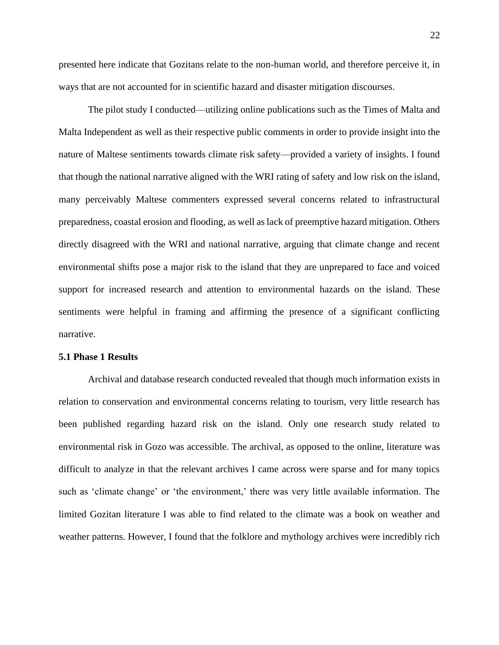22

presented here indicate that Gozitans relate to the non-human world, and therefore perceive it, in ways that are not accounted for in scientific hazard and disaster mitigation discourses.

The pilot study I conducted—utilizing online publications such as the Times of Malta and Malta Independent as well as their respective public comments in order to provide insight into the nature of Maltese sentiments towards climate risk safety—provided a variety of insights. I found that though the national narrative aligned with the WRI rating of safety and low risk on the island, many perceivably Maltese commenters expressed several concerns related to infrastructural preparedness, coastal erosion and flooding, as well as lack of preemptive hazard mitigation. Others directly disagreed with the WRI and national narrative, arguing that climate change and recent environmental shifts pose a major risk to the island that they are unprepared to face and voiced support for increased research and attention to environmental hazards on the island. These sentiments were helpful in framing and affirming the presence of a significant conflicting narrative.

#### **5.1 Phase 1 Results**

Archival and database research conducted revealed that though much information exists in relation to conservation and environmental concerns relating to tourism, very little research has been published regarding hazard risk on the island. Only one research study related to environmental risk in Gozo was accessible. The archival, as opposed to the online, literature was difficult to analyze in that the relevant archives I came across were sparse and for many topics such as 'climate change' or 'the environment,' there was very little available information. The limited Gozitan literature I was able to find related to the climate was a book on weather and weather patterns. However, I found that the folklore and mythology archives were incredibly rich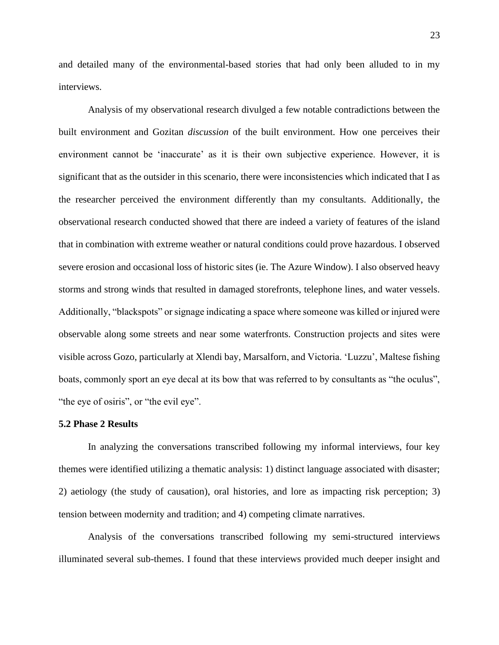and detailed many of the environmental-based stories that had only been alluded to in my interviews.

Analysis of my observational research divulged a few notable contradictions between the built environment and Gozitan *discussion* of the built environment. How one perceives their environment cannot be 'inaccurate' as it is their own subjective experience. However, it is significant that as the outsider in this scenario, there were inconsistencies which indicated that I as the researcher perceived the environment differently than my consultants. Additionally, the observational research conducted showed that there are indeed a variety of features of the island that in combination with extreme weather or natural conditions could prove hazardous. I observed severe erosion and occasional loss of historic sites (ie. The Azure Window). I also observed heavy storms and strong winds that resulted in damaged storefronts, telephone lines, and water vessels. Additionally, "blackspots" or signage indicating a space where someone was killed or injured were observable along some streets and near some waterfronts. Construction projects and sites were visible across Gozo, particularly at Xlendi bay, Marsalforn, and Victoria. 'Luzzu', Maltese fishing boats, commonly sport an eye decal at its bow that was referred to by consultants as "the oculus", "the eye of osiris", or "the evil eye".

#### **5.2 Phase 2 Results**

In analyzing the conversations transcribed following my informal interviews, four key themes were identified utilizing a thematic analysis: 1) distinct language associated with disaster; 2) aetiology (the study of causation), oral histories, and lore as impacting risk perception; 3) tension between modernity and tradition; and 4) competing climate narratives.

Analysis of the conversations transcribed following my semi-structured interviews illuminated several sub-themes. I found that these interviews provided much deeper insight and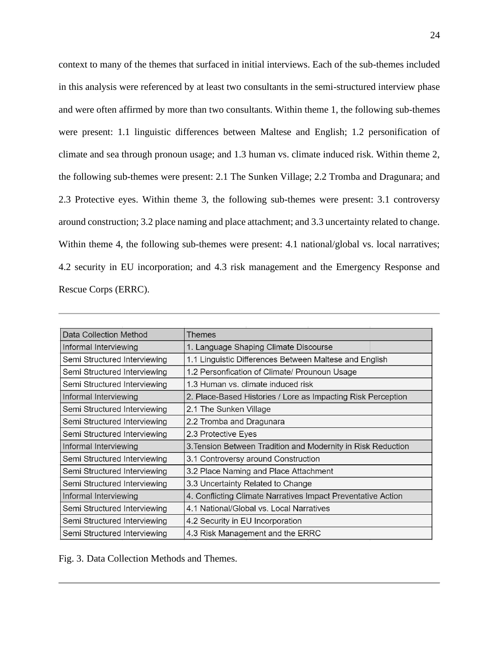context to many of the themes that surfaced in initial interviews. Each of the sub-themes included in this analysis were referenced by at least two consultants in the semi-structured interview phase and were often affirmed by more than two consultants. Within theme 1, the following sub-themes were present: 1.1 linguistic differences between Maltese and English; 1.2 personification of climate and sea through pronoun usage; and 1.3 human vs. climate induced risk. Within theme 2, the following sub-themes were present: 2.1 The Sunken Village; 2.2 Tromba and Dragunara; and 2.3 Protective eyes. Within theme 3, the following sub-themes were present: 3.1 controversy around construction; 3.2 place naming and place attachment; and 3.3 uncertainty related to change. Within theme 4, the following sub-themes were present: 4.1 national/global vs. local narratives; 4.2 security in EU incorporation; and 4.3 risk management and the Emergency Response and Rescue Corps (ERRC).

| Data Collection Method       | <b>Themes</b>                                                |
|------------------------------|--------------------------------------------------------------|
| Informal Interviewing        | 1. Language Shaping Climate Discourse                        |
| Semi Structured Interviewing | 1.1 Linguistic Differences Between Maltese and English       |
| Semi Structured Interviewing | 1.2 Personfication of Climate/ Prounoun Usage                |
| Semi Structured Interviewing | 1.3 Human vs. climate induced risk                           |
| Informal Interviewing        | 2. Place-Based Histories / Lore as Impacting Risk Perception |
| Semi Structured Interviewing | 2.1 The Sunken Village                                       |
| Semi Structured Interviewing | 2.2 Tromba and Dragunara                                     |
| Semi Structured Interviewing | 2.3 Protective Eyes                                          |
| Informal Interviewing        | 3. Tension Between Tradition and Modernity in Risk Reduction |
| Semi Structured Interviewing | 3.1 Controversy around Construction                          |
| Semi Structured Interviewing | 3.2 Place Naming and Place Attachment                        |
| Semi Structured Interviewing | 3.3 Uncertainty Related to Change                            |
| Informal Interviewing        | 4. Conflicting Climate Narratives Impact Preventative Action |
| Semi Structured Interviewing | 4.1 National/Global vs. Local Narratives                     |
| Semi Structured Interviewing | 4.2 Security in EU Incorporation                             |
| Semi Structured Interviewing | 4.3 Risk Management and the ERRC                             |

Fig. 3. Data Collection Methods and Themes.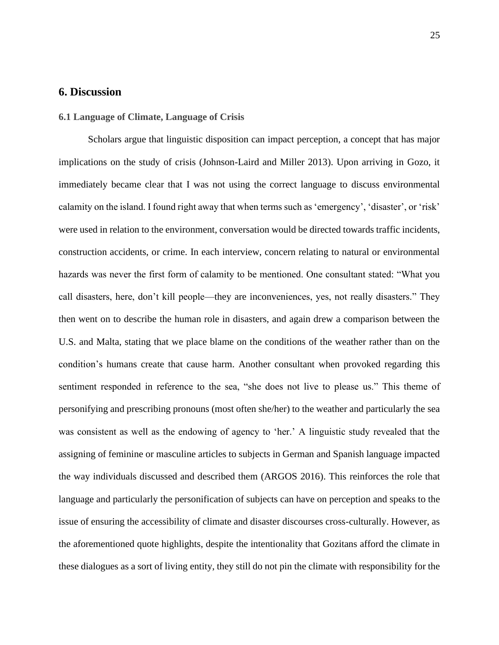# **6. Discussion**

## **6.1 Language of Climate, Language of Crisis**

Scholars argue that linguistic disposition can impact perception, a concept that has major implications on the study of crisis (Johnson-Laird and Miller 2013). Upon arriving in Gozo, it immediately became clear that I was not using the correct language to discuss environmental calamity on the island. I found right away that when terms such as 'emergency', 'disaster', or 'risk' were used in relation to the environment, conversation would be directed towards traffic incidents, construction accidents, or crime. In each interview, concern relating to natural or environmental hazards was never the first form of calamity to be mentioned. One consultant stated: "What you call disasters, here, don't kill people—they are inconveniences, yes, not really disasters." They then went on to describe the human role in disasters, and again drew a comparison between the U.S. and Malta, stating that we place blame on the conditions of the weather rather than on the condition's humans create that cause harm. Another consultant when provoked regarding this sentiment responded in reference to the sea, "she does not live to please us." This theme of personifying and prescribing pronouns (most often she/her) to the weather and particularly the sea was consistent as well as the endowing of agency to 'her.' A linguistic study revealed that the assigning of feminine or masculine articles to subjects in German and Spanish language impacted the way individuals discussed and described them (ARGOS 2016). This reinforces the role that language and particularly the personification of subjects can have on perception and speaks to the issue of ensuring the accessibility of climate and disaster discourses cross-culturally. However, as the aforementioned quote highlights, despite the intentionality that Gozitans afford the climate in these dialogues as a sort of living entity, they still do not pin the climate with responsibility for the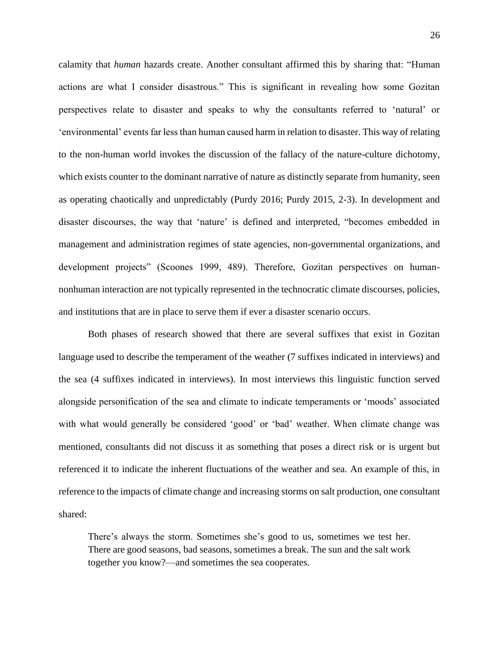calamity that *human* hazards create. Another consultant affirmed this by sharing that: "Human actions are what I consider disastrous." This is significant in revealing how some Gozitan perspectives relate to disaster and speaks to why the consultants referred to 'natural' or 'environmental' events far less than human caused harm in relation to disaster. This way of relating to the non-human world invokes the discussion of the fallacy of the nature-culture dichotomy, which exists counter to the dominant narrative of nature as distinctly separate from humanity, seen as operating chaotically and unpredictably (Purdy 2016; Purdy 2015, 2-3). In development and disaster discourses, the way that 'nature' is defined and interpreted, "becomes embedded in management and administration regimes of state agencies, non-governmental organizations, and development projects" (Scoones 1999, 489). Therefore, Gozitan perspectives on humannonhuman interaction are not typically represented in the technocratic climate discourses, policies, and institutions that are in place to serve them if ever a disaster scenario occurs.

Both phases of research showed that there are several suffixes that exist in Gozitan language used to describe the temperament of the weather (7 suffixes indicated in interviews) and the sea (4 suffixes indicated in interviews). In most interviews this linguistic function served alongside personification of the sea and climate to indicate temperaments or 'moods' associated with what would generally be considered 'good' or 'bad' weather. When climate change was mentioned, consultants did not discuss it as something that poses a direct risk or is urgent but referenced it to indicate the inherent fluctuations of the weather and sea. An example of this, in reference to the impacts of climate change and increasing storms on salt production, one consultant shared:

There's always the storm. Sometimes she's good to us, sometimes we test her. There are good seasons, bad seasons, sometimes a break. The sun and the salt work together you know?—and sometimes the sea cooperates.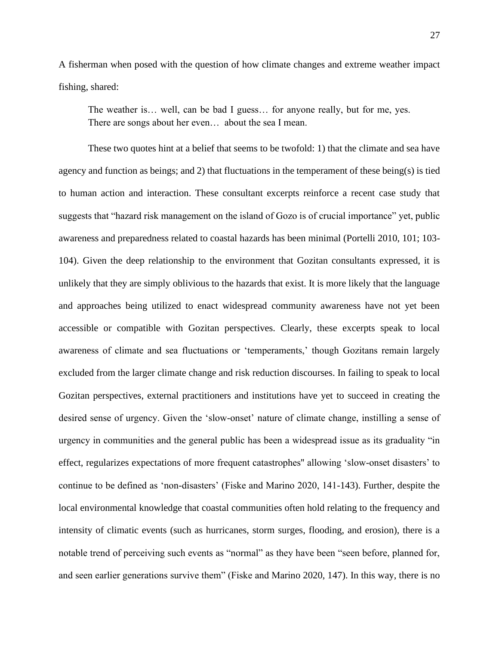A fisherman when posed with the question of how climate changes and extreme weather impact fishing, shared:

The weather is… well, can be bad I guess… for anyone really, but for me, yes. There are songs about her even… about the sea I mean.

These two quotes hint at a belief that seems to be twofold: 1) that the climate and sea have agency and function as beings; and 2) that fluctuations in the temperament of these being(s) is tied to human action and interaction. These consultant excerpts reinforce a recent case study that suggests that "hazard risk management on the island of Gozo is of crucial importance" yet, public awareness and preparedness related to coastal hazards has been minimal (Portelli 2010, 101; 103- 104). Given the deep relationship to the environment that Gozitan consultants expressed, it is unlikely that they are simply oblivious to the hazards that exist. It is more likely that the language and approaches being utilized to enact widespread community awareness have not yet been accessible or compatible with Gozitan perspectives. Clearly, these excerpts speak to local awareness of climate and sea fluctuations or 'temperaments,' though Gozitans remain largely excluded from the larger climate change and risk reduction discourses. In failing to speak to local Gozitan perspectives, external practitioners and institutions have yet to succeed in creating the desired sense of urgency. Given the 'slow-onset' nature of climate change, instilling a sense of urgency in communities and the general public has been a widespread issue as its graduality "in effect, regularizes expectations of more frequent catastrophes'' allowing 'slow-onset disasters' to continue to be defined as 'non-disasters' (Fiske and Marino 2020, 141-143). Further, despite the local environmental knowledge that coastal communities often hold relating to the frequency and intensity of climatic events (such as hurricanes, storm surges, flooding, and erosion), there is a notable trend of perceiving such events as "normal" as they have been "seen before, planned for, and seen earlier generations survive them" (Fiske and Marino 2020, 147). In this way, there is no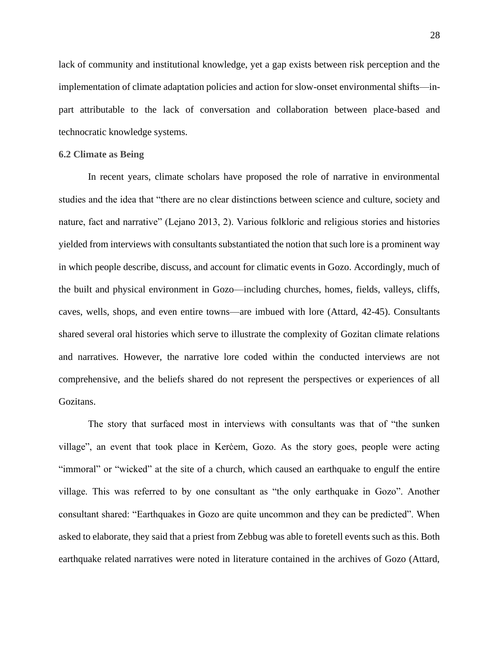lack of community and institutional knowledge, yet a gap exists between risk perception and the implementation of climate adaptation policies and action for slow-onset environmental shifts—inpart attributable to the lack of conversation and collaboration between place-based and technocratic knowledge systems.

#### **6.2 Climate as Being**

In recent years, climate scholars have proposed the role of narrative in environmental studies and the idea that "there are no clear distinctions between science and culture, society and nature, fact and narrative" (Lejano 2013, 2). Various folkloric and religious stories and histories yielded from interviews with consultants substantiated the notion that such lore is a prominent way in which people describe, discuss, and account for climatic events in Gozo. Accordingly, much of the built and physical environment in Gozo—including churches, homes, fields, valleys, cliffs, caves, wells, shops, and even entire towns—are imbued with lore (Attard, 42-45). Consultants shared several oral histories which serve to illustrate the complexity of Gozitan climate relations and narratives. However, the narrative lore coded within the conducted interviews are not comprehensive, and the beliefs shared do not represent the perspectives or experiences of all Gozitans.

The story that surfaced most in interviews with consultants was that of "the sunken village", an event that took place in Kerċem, Gozo. As the story goes, people were acting "immoral" or "wicked" at the site of a church, which caused an earthquake to engulf the entire village. This was referred to by one consultant as "the only earthquake in Gozo". Another consultant shared: "Earthquakes in Gozo are quite uncommon and they can be predicted". When asked to elaborate, they said that a priest from Zebbug was able to foretell events such as this. Both earthquake related narratives were noted in literature contained in the archives of Gozo (Attard,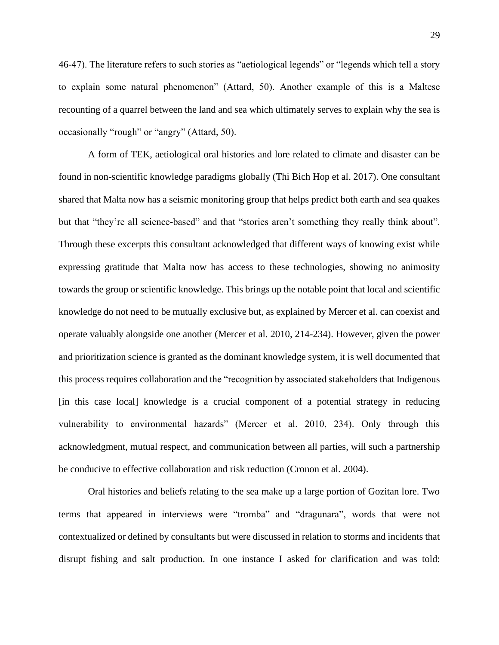46-47). The literature refers to such stories as "aetiological legends" or "legends which tell a story to explain some natural phenomenon" (Attard, 50). Another example of this is a Maltese recounting of a quarrel between the land and sea which ultimately serves to explain why the sea is occasionally "rough" or "angry" (Attard, 50).

A form of TEK, aetiological oral histories and lore related to climate and disaster can be found in non-scientific knowledge paradigms globally (Thi Bich Hop et al. 2017). One consultant shared that Malta now has a seismic monitoring group that helps predict both earth and sea quakes but that "they're all science-based" and that "stories aren't something they really think about". Through these excerpts this consultant acknowledged that different ways of knowing exist while expressing gratitude that Malta now has access to these technologies, showing no animosity towards the group or scientific knowledge. This brings up the notable point that local and scientific knowledge do not need to be mutually exclusive but, as explained by Mercer et al. can coexist and operate valuably alongside one another (Mercer et al. 2010, 214-234). However, given the power and prioritization science is granted as the dominant knowledge system, it is well documented that this process requires collaboration and the "recognition by associated stakeholders that Indigenous [in this case local] knowledge is a crucial component of a potential strategy in reducing vulnerability to environmental hazards" (Mercer et al. 2010, 234). Only through this acknowledgment, mutual respect, and communication between all parties, will such a partnership be conducive to effective collaboration and risk reduction (Cronon et al. 2004).

Oral histories and beliefs relating to the sea make up a large portion of Gozitan lore. Two terms that appeared in interviews were "tromba" and "dragunara", words that were not contextualized or defined by consultants but were discussed in relation to storms and incidents that disrupt fishing and salt production. In one instance I asked for clarification and was told: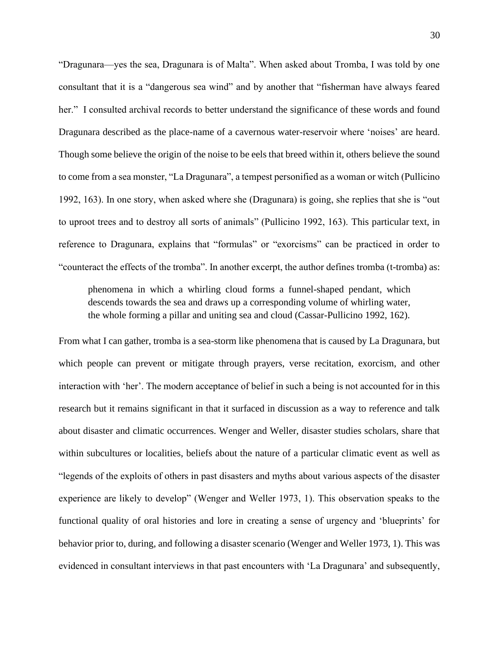"Dragunara—yes the sea, Dragunara is of Malta". When asked about Tromba, I was told by one consultant that it is a "dangerous sea wind" and by another that "fisherman have always feared her." I consulted archival records to better understand the significance of these words and found Dragunara described as the place-name of a cavernous water-reservoir where 'noises' are heard. Though some believe the origin of the noise to be eels that breed within it, others believe the sound to come from a sea monster, "La Dragunara", a tempest personified as a woman or witch (Pullicino 1992, 163). In one story, when asked where she (Dragunara) is going, she replies that she is "out to uproot trees and to destroy all sorts of animals" (Pullicino 1992, 163). This particular text, in reference to Dragunara, explains that "formulas" or "exorcisms" can be practiced in order to "counteract the effects of the tromba". In another excerpt, the author defines tromba (t-tromba) as:

phenomena in which a whirling cloud forms a funnel-shaped pendant, which descends towards the sea and draws up a corresponding volume of whirling water, the whole forming a pillar and uniting sea and cloud (Cassar-Pullicino 1992, 162).

From what I can gather, tromba is a sea-storm like phenomena that is caused by La Dragunara, but which people can prevent or mitigate through prayers, verse recitation, exorcism, and other interaction with 'her'. The modern acceptance of belief in such a being is not accounted for in this research but it remains significant in that it surfaced in discussion as a way to reference and talk about disaster and climatic occurrences. Wenger and Weller, disaster studies scholars, share that within subcultures or localities, beliefs about the nature of a particular climatic event as well as "legends of the exploits of others in past disasters and myths about various aspects of the disaster experience are likely to develop" (Wenger and Weller 1973, 1). This observation speaks to the functional quality of oral histories and lore in creating a sense of urgency and 'blueprints' for behavior prior to, during, and following a disaster scenario (Wenger and Weller 1973, 1). This was evidenced in consultant interviews in that past encounters with 'La Dragunara' and subsequently,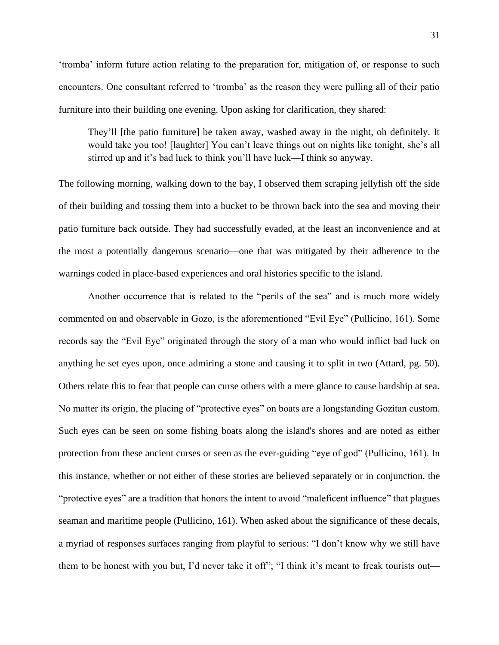'tromba' inform future action relating to the preparation for, mitigation of, or response to such encounters. One consultant referred to 'tromba' as the reason they were pulling all of their patio furniture into their building one evening. Upon asking for clarification, they shared:

They'll [the patio furniture] be taken away, washed away in the night, oh definitely. It would take you too! [laughter] You can't leave things out on nights like tonight, she's all stirred up and it's bad luck to think you'll have luck—I think so anyway.

The following morning, walking down to the bay, I observed them scraping jellyfish off the side of their building and tossing them into a bucket to be thrown back into the sea and moving their patio furniture back outside. They had successfully evaded, at the least an inconvenience and at the most a potentially dangerous scenario—one that was mitigated by their adherence to the warnings coded in place-based experiences and oral histories specific to the island.

Another occurrence that is related to the "perils of the sea" and is much more widely commented on and observable in Gozo, is the aforementioned "Evil Eye" (Pullicino, 161). Some records say the "Evil Eye" originated through the story of a man who would inflict bad luck on anything he set eyes upon, once admiring a stone and causing it to split in two (Attard, pg. 50). Others relate this to fear that people can curse others with a mere glance to cause hardship at sea. No matter its origin, the placing of "protective eyes" on boats are a longstanding Gozitan custom. Such eyes can be seen on some fishing boats along the island's shores and are noted as either protection from these ancient curses or seen as the ever-guiding "eye of god" (Pullicino, 161). In this instance, whether or not either of these stories are believed separately or in conjunction, the "protective eyes" are a tradition that honors the intent to avoid "maleficent influence" that plagues seaman and maritime people (Pullicino, 161). When asked about the significance of these decals, a myriad of responses surfaces ranging from playful to serious: "I don't know why we still have them to be honest with you but, I'd never take it off"; "I think it's meant to freak tourists out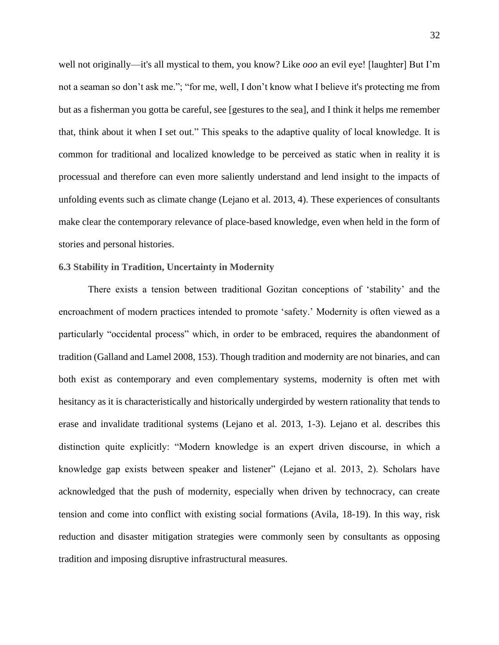well not originally—it's all mystical to them, you know? Like *ooo* an evil eye! [laughter] But I'm not a seaman so don't ask me."; "for me, well, I don't know what I believe it's protecting me from but as a fisherman you gotta be careful, see [gestures to the sea], and I think it helps me remember that, think about it when I set out." This speaks to the adaptive quality of local knowledge. It is common for traditional and localized knowledge to be perceived as static when in reality it is processual and therefore can even more saliently understand and lend insight to the impacts of unfolding events such as climate change (Lejano et al. 2013, 4). These experiences of consultants make clear the contemporary relevance of place-based knowledge, even when held in the form of stories and personal histories.

## **6.3 Stability in Tradition, Uncertainty in Modernity**

There exists a tension between traditional Gozitan conceptions of 'stability' and the encroachment of modern practices intended to promote 'safety.' Modernity is often viewed as a particularly "occidental process" which, in order to be embraced, requires the abandonment of tradition (Galland and Lamel 2008, 153). Though tradition and modernity are not binaries, and can both exist as contemporary and even complementary systems, modernity is often met with hesitancy as it is characteristically and historically undergirded by western rationality that tends to erase and invalidate traditional systems (Lejano et al. 2013, 1-3). Lejano et al. describes this distinction quite explicitly: "Modern knowledge is an expert driven discourse, in which a knowledge gap exists between speaker and listener" (Lejano et al. 2013, 2). Scholars have acknowledged that the push of modernity, especially when driven by technocracy, can create tension and come into conflict with existing social formations (Avila, 18-19). In this way, risk reduction and disaster mitigation strategies were commonly seen by consultants as opposing tradition and imposing disruptive infrastructural measures.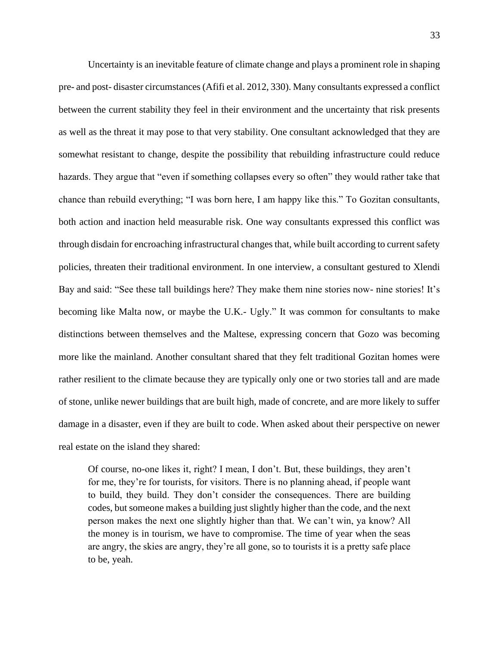Uncertainty is an inevitable feature of climate change and plays a prominent role in shaping pre- and post- disaster circumstances (Afifi et al. 2012, 330). Many consultants expressed a conflict between the current stability they feel in their environment and the uncertainty that risk presents as well as the threat it may pose to that very stability. One consultant acknowledged that they are somewhat resistant to change, despite the possibility that rebuilding infrastructure could reduce hazards. They argue that "even if something collapses every so often" they would rather take that chance than rebuild everything; "I was born here, I am happy like this." To Gozitan consultants, both action and inaction held measurable risk. One way consultants expressed this conflict was through disdain for encroaching infrastructural changes that, while built according to current safety policies, threaten their traditional environment. In one interview, a consultant gestured to Xlendi Bay and said: "See these tall buildings here? They make them nine stories now- nine stories! It's becoming like Malta now, or maybe the U.K.- Ugly." It was common for consultants to make distinctions between themselves and the Maltese, expressing concern that Gozo was becoming more like the mainland. Another consultant shared that they felt traditional Gozitan homes were rather resilient to the climate because they are typically only one or two stories tall and are made of stone, unlike newer buildings that are built high, made of concrete, and are more likely to suffer damage in a disaster, even if they are built to code. When asked about their perspective on newer real estate on the island they shared:

Of course, no-one likes it, right? I mean, I don't. But, these buildings, they aren't for me, they're for tourists, for visitors. There is no planning ahead, if people want to build, they build. They don't consider the consequences. There are building codes, but someone makes a building just slightly higher than the code, and the next person makes the next one slightly higher than that. We can't win, ya know? All the money is in tourism, we have to compromise. The time of year when the seas are angry, the skies are angry, they're all gone, so to tourists it is a pretty safe place to be, yeah.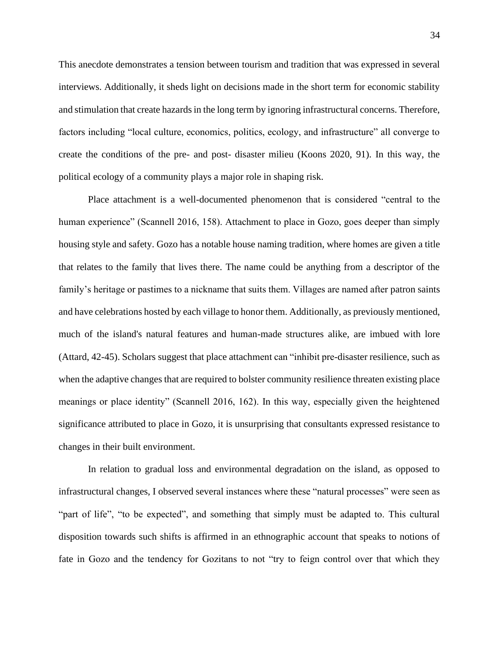This anecdote demonstrates a tension between tourism and tradition that was expressed in several interviews. Additionally, it sheds light on decisions made in the short term for economic stability and stimulation that create hazards in the long term by ignoring infrastructural concerns. Therefore, factors including "local culture, economics, politics, ecology, and infrastructure" all converge to create the conditions of the pre- and post- disaster milieu (Koons 2020, 91). In this way, the political ecology of a community plays a major role in shaping risk.

Place attachment is a well-documented phenomenon that is considered "central to the human experience" (Scannell 2016, 158). Attachment to place in Gozo, goes deeper than simply housing style and safety. Gozo has a notable house naming tradition, where homes are given a title that relates to the family that lives there. The name could be anything from a descriptor of the family's heritage or pastimes to a nickname that suits them. Villages are named after patron saints and have celebrations hosted by each village to honor them. Additionally, as previously mentioned, much of the island's natural features and human-made structures alike, are imbued with lore (Attard, 42-45). Scholars suggest that place attachment can "inhibit pre-disaster resilience, such as when the adaptive changes that are required to bolster community resilience threaten existing place meanings or place identity" (Scannell 2016, 162). In this way, especially given the heightened significance attributed to place in Gozo, it is unsurprising that consultants expressed resistance to changes in their built environment.

In relation to gradual loss and environmental degradation on the island, as opposed to infrastructural changes, I observed several instances where these "natural processes" were seen as "part of life", "to be expected", and something that simply must be adapted to. This cultural disposition towards such shifts is affirmed in an ethnographic account that speaks to notions of fate in Gozo and the tendency for Gozitans to not "try to feign control over that which they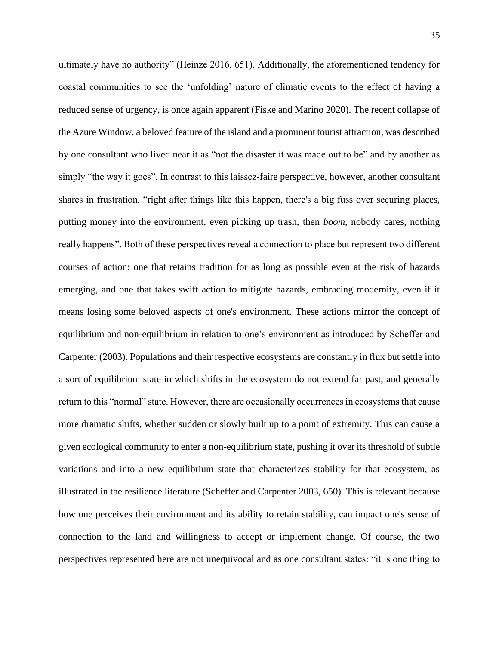ultimately have no authority" (Heinze 2016, 651). Additionally, the aforementioned tendency for coastal communities to see the 'unfolding' nature of climatic events to the effect of having a reduced sense of urgency, is once again apparent (Fiske and Marino 2020). The recent collapse of the Azure Window, a beloved feature of the island and a prominent tourist attraction, was described by one consultant who lived near it as "not the disaster it was made out to be" and by another as simply "the way it goes". In contrast to this laissez-faire perspective, however, another consultant shares in frustration, "right after things like this happen, there's a big fuss over securing places, putting money into the environment, even picking up trash, then *boom*, nobody cares, nothing really happens". Both of these perspectives reveal a connection to place but represent two different courses of action: one that retains tradition for as long as possible even at the risk of hazards emerging, and one that takes swift action to mitigate hazards, embracing modernity, even if it means losing some beloved aspects of one's environment. These actions mirror the concept of equilibrium and non-equilibrium in relation to one's environment as introduced by Scheffer and Carpenter (2003). Populations and their respective ecosystems are constantly in flux but settle into a sort of equilibrium state in which shifts in the ecosystem do not extend far past, and generally return to this "normal" state. However, there are occasionally occurrences in ecosystems that cause more dramatic shifts, whether sudden or slowly built up to a point of extremity. This can cause a given ecological community to enter a non-equilibrium state, pushing it over its threshold of subtle variations and into a new equilibrium state that characterizes stability for that ecosystem, as illustrated in the resilience literature (Scheffer and Carpenter 2003, 650). This is relevant because how one perceives their environment and its ability to retain stability, can impact one's sense of connection to the land and willingness to accept or implement change. Of course, the two perspectives represented here are not unequivocal and as one consultant states: "it is one thing to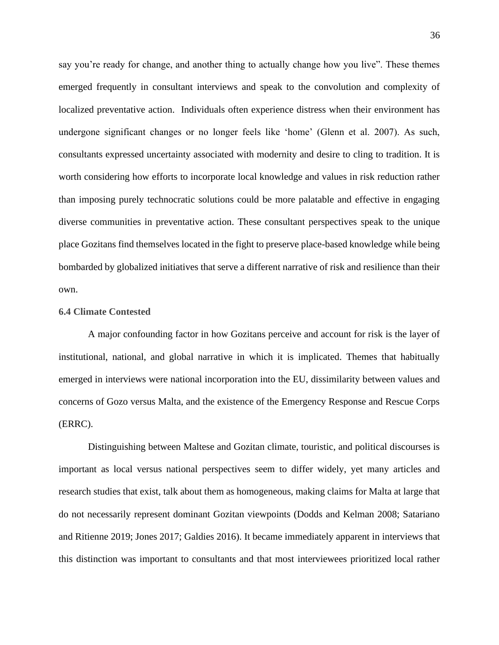say you're ready for change, and another thing to actually change how you live". These themes emerged frequently in consultant interviews and speak to the convolution and complexity of localized preventative action. Individuals often experience distress when their environment has undergone significant changes or no longer feels like 'home' (Glenn et al. 2007). As such, consultants expressed uncertainty associated with modernity and desire to cling to tradition. It is worth considering how efforts to incorporate local knowledge and values in risk reduction rather than imposing purely technocratic solutions could be more palatable and effective in engaging diverse communities in preventative action. These consultant perspectives speak to the unique place Gozitans find themselves located in the fight to preserve place-based knowledge while being bombarded by globalized initiatives that serve a different narrative of risk and resilience than their own.

## **6.4 Climate Contested**

A major confounding factor in how Gozitans perceive and account for risk is the layer of institutional, national, and global narrative in which it is implicated. Themes that habitually emerged in interviews were national incorporation into the EU, dissimilarity between values and concerns of Gozo versus Malta, and the existence of the Emergency Response and Rescue Corps (ERRC).

Distinguishing between Maltese and Gozitan climate, touristic, and political discourses is important as local versus national perspectives seem to differ widely, yet many articles and research studies that exist, talk about them as homogeneous, making claims for Malta at large that do not necessarily represent dominant Gozitan viewpoints (Dodds and Kelman 2008; Satariano and Ritienne 2019; Jones 2017; Galdies 2016). It became immediately apparent in interviews that this distinction was important to consultants and that most interviewees prioritized local rather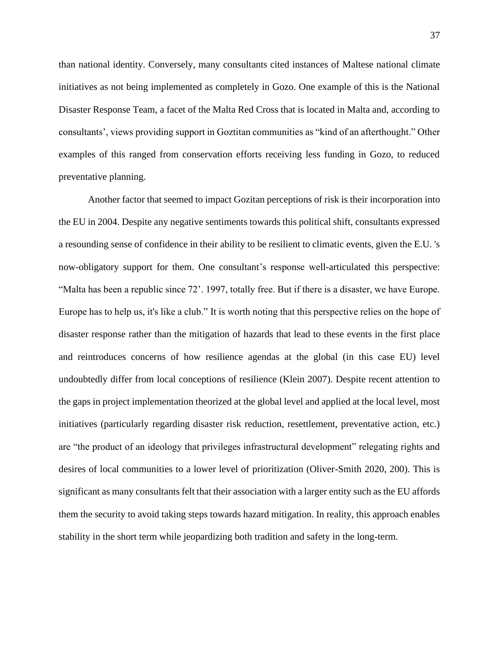than national identity. Conversely, many consultants cited instances of Maltese national climate initiatives as not being implemented as completely in Gozo. One example of this is the National Disaster Response Team, a facet of the Malta Red Cross that is located in Malta and, according to consultants', views providing support in Goztitan communities as "kind of an afterthought." Other examples of this ranged from conservation efforts receiving less funding in Gozo, to reduced preventative planning.

Another factor that seemed to impact Gozitan perceptions of risk is their incorporation into the EU in 2004. Despite any negative sentiments towards this political shift, consultants expressed a resounding sense of confidence in their ability to be resilient to climatic events, given the E.U. 's now-obligatory support for them. One consultant's response well-articulated this perspective: "Malta has been a republic since 72'. 1997, totally free. But if there is a disaster, we have Europe. Europe has to help us, it's like a club." It is worth noting that this perspective relies on the hope of disaster response rather than the mitigation of hazards that lead to these events in the first place and reintroduces concerns of how resilience agendas at the global (in this case EU) level undoubtedly differ from local conceptions of resilience (Klein 2007). Despite recent attention to the gaps in project implementation theorized at the global level and applied at the local level, most initiatives (particularly regarding disaster risk reduction, resettlement, preventative action, etc.) are "the product of an ideology that privileges infrastructural development" relegating rights and desires of local communities to a lower level of prioritization (Oliver-Smith 2020, 200). This is significant as many consultants felt that their association with a larger entity such as the EU affords them the security to avoid taking steps towards hazard mitigation. In reality, this approach enables stability in the short term while jeopardizing both tradition and safety in the long-term.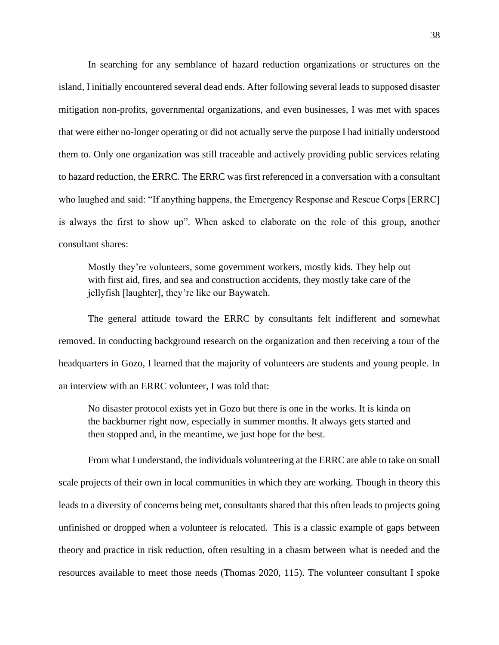In searching for any semblance of hazard reduction organizations or structures on the island, I initially encountered several dead ends. After following several leads to supposed disaster mitigation non-profits, governmental organizations, and even businesses, I was met with spaces that were either no-longer operating or did not actually serve the purpose I had initially understood them to. Only one organization was still traceable and actively providing public services relating to hazard reduction, the ERRC. The ERRC was first referenced in a conversation with a consultant who laughed and said: "If anything happens, the Emergency Response and Rescue Corps [ERRC] is always the first to show up". When asked to elaborate on the role of this group, another consultant shares:

Mostly they're volunteers, some government workers, mostly kids. They help out with first aid, fires, and sea and construction accidents, they mostly take care of the jellyfish [laughter], they're like our Baywatch.

The general attitude toward the ERRC by consultants felt indifferent and somewhat removed. In conducting background research on the organization and then receiving a tour of the headquarters in Gozo, I learned that the majority of volunteers are students and young people. In an interview with an ERRC volunteer, I was told that:

No disaster protocol exists yet in Gozo but there is one in the works. It is kinda on the backburner right now, especially in summer months. It always gets started and then stopped and, in the meantime, we just hope for the best.

From what I understand, the individuals volunteering at the ERRC are able to take on small scale projects of their own in local communities in which they are working. Though in theory this leads to a diversity of concerns being met, consultants shared that this often leads to projects going unfinished or dropped when a volunteer is relocated. This is a classic example of gaps between theory and practice in risk reduction, often resulting in a chasm between what is needed and the resources available to meet those needs (Thomas 2020, 115). The volunteer consultant I spoke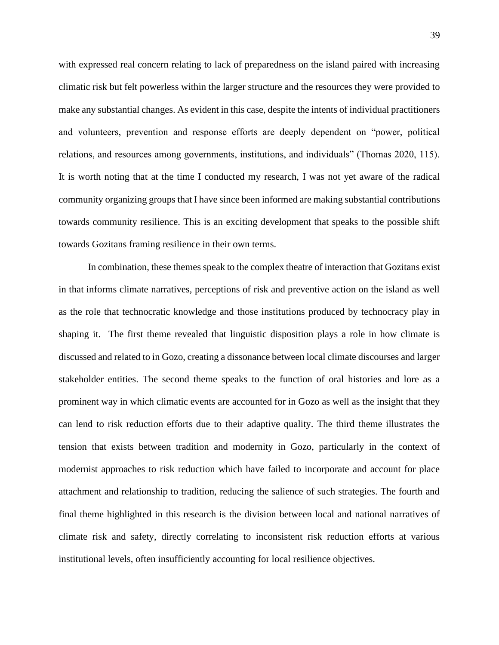with expressed real concern relating to lack of preparedness on the island paired with increasing climatic risk but felt powerless within the larger structure and the resources they were provided to make any substantial changes. As evident in this case, despite the intents of individual practitioners and volunteers, prevention and response efforts are deeply dependent on "power, political relations, and resources among governments, institutions, and individuals" (Thomas 2020, 115). It is worth noting that at the time I conducted my research, I was not yet aware of the radical community organizing groups that I have since been informed are making substantial contributions towards community resilience. This is an exciting development that speaks to the possible shift towards Gozitans framing resilience in their own terms.

In combination, these themes speak to the complex theatre of interaction that Gozitans exist in that informs climate narratives, perceptions of risk and preventive action on the island as well as the role that technocratic knowledge and those institutions produced by technocracy play in shaping it. The first theme revealed that linguistic disposition plays a role in how climate is discussed and related to in Gozo, creating a dissonance between local climate discourses and larger stakeholder entities. The second theme speaks to the function of oral histories and lore as a prominent way in which climatic events are accounted for in Gozo as well as the insight that they can lend to risk reduction efforts due to their adaptive quality. The third theme illustrates the tension that exists between tradition and modernity in Gozo, particularly in the context of modernist approaches to risk reduction which have failed to incorporate and account for place attachment and relationship to tradition, reducing the salience of such strategies. The fourth and final theme highlighted in this research is the division between local and national narratives of climate risk and safety, directly correlating to inconsistent risk reduction efforts at various institutional levels, often insufficiently accounting for local resilience objectives.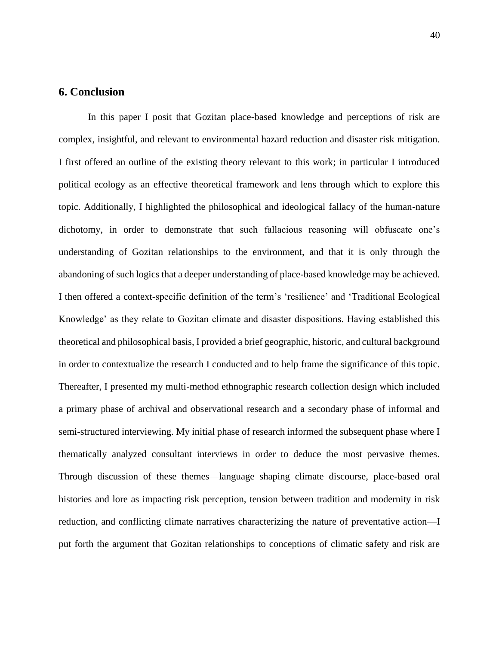# **6. Conclusion**

In this paper I posit that Gozitan place-based knowledge and perceptions of risk are complex, insightful, and relevant to environmental hazard reduction and disaster risk mitigation. I first offered an outline of the existing theory relevant to this work; in particular I introduced political ecology as an effective theoretical framework and lens through which to explore this topic. Additionally, I highlighted the philosophical and ideological fallacy of the human-nature dichotomy, in order to demonstrate that such fallacious reasoning will obfuscate one's understanding of Gozitan relationships to the environment, and that it is only through the abandoning of such logics that a deeper understanding of place-based knowledge may be achieved. I then offered a context-specific definition of the term's 'resilience' and 'Traditional Ecological Knowledge' as they relate to Gozitan climate and disaster dispositions. Having established this theoretical and philosophical basis, I provided a brief geographic, historic, and cultural background in order to contextualize the research I conducted and to help frame the significance of this topic. Thereafter, I presented my multi-method ethnographic research collection design which included a primary phase of archival and observational research and a secondary phase of informal and semi-structured interviewing. My initial phase of research informed the subsequent phase where I thematically analyzed consultant interviews in order to deduce the most pervasive themes. Through discussion of these themes—language shaping climate discourse, place-based oral histories and lore as impacting risk perception, tension between tradition and modernity in risk reduction, and conflicting climate narratives characterizing the nature of preventative action—I put forth the argument that Gozitan relationships to conceptions of climatic safety and risk are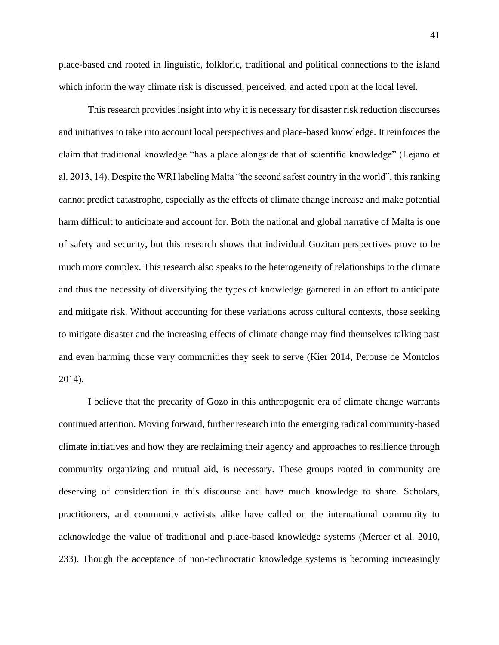place-based and rooted in linguistic, folkloric, traditional and political connections to the island which inform the way climate risk is discussed, perceived, and acted upon at the local level.

This research provides insight into why it is necessary for disaster risk reduction discourses and initiatives to take into account local perspectives and place-based knowledge. It reinforces the claim that traditional knowledge "has a place alongside that of scientific knowledge" (Lejano et al. 2013, 14). Despite the WRI labeling Malta "the second safest country in the world", this ranking cannot predict catastrophe, especially as the effects of climate change increase and make potential harm difficult to anticipate and account for. Both the national and global narrative of Malta is one of safety and security, but this research shows that individual Gozitan perspectives prove to be much more complex. This research also speaks to the heterogeneity of relationships to the climate and thus the necessity of diversifying the types of knowledge garnered in an effort to anticipate and mitigate risk. Without accounting for these variations across cultural contexts, those seeking to mitigate disaster and the increasing effects of climate change may find themselves talking past and even harming those very communities they seek to serve (Kier 2014, Perouse de Montclos 2014).

I believe that the precarity of Gozo in this anthropogenic era of climate change warrants continued attention. Moving forward, further research into the emerging radical community-based climate initiatives and how they are reclaiming their agency and approaches to resilience through community organizing and mutual aid, is necessary. These groups rooted in community are deserving of consideration in this discourse and have much knowledge to share. Scholars, practitioners, and community activists alike have called on the international community to acknowledge the value of traditional and place-based knowledge systems (Mercer et al. 2010, 233). Though the acceptance of non-technocratic knowledge systems is becoming increasingly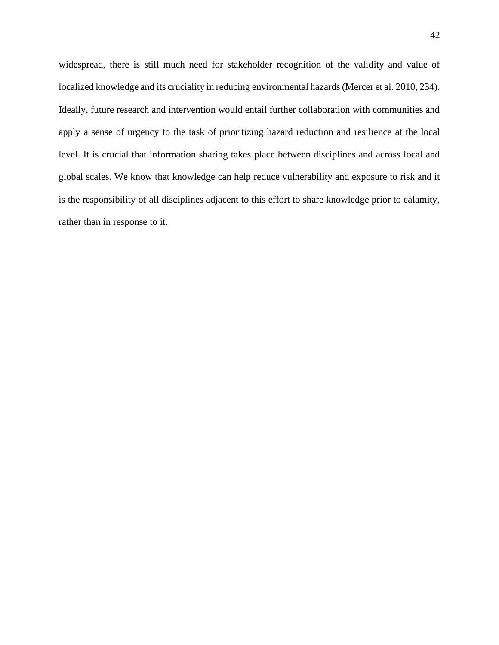widespread, there is still much need for stakeholder recognition of the validity and value of localized knowledge and its cruciality in reducing environmental hazards (Mercer et al. 2010, 234). Ideally, future research and intervention would entail further collaboration with communities and apply a sense of urgency to the task of prioritizing hazard reduction and resilience at the local level. It is crucial that information sharing takes place between disciplines and across local and global scales. We know that knowledge can help reduce vulnerability and exposure to risk and it is the responsibility of all disciplines adjacent to this effort to share knowledge prior to calamity, rather than in response to it.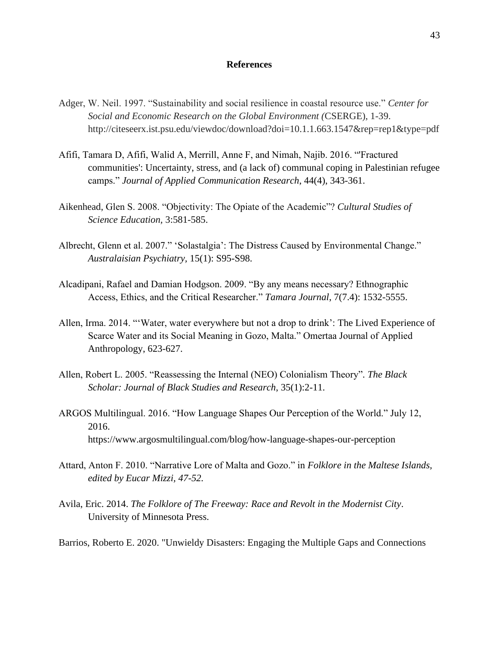## **References**

- Adger, W. Neil. 1997. "Sustainability and social resilience in coastal resource use." *Center for Social and Economic Research on the Global Environment (*CSERGE), 1-39. http://citeseerx.ist.psu.edu/viewdoc/download?doi=10.1.1.663.1547&rep=rep1&type=pdf
- Afifi, Tamara D, Afifi, Walid A, Merrill, Anne F, and Nimah, Najib. 2016. "'Fractured communities': Uncertainty, stress, and (a lack of) communal coping in Palestinian refugee camps." *Journal of Applied Communication Research*, 44(4), 343-361.
- Aikenhead, Glen S. 2008. "Objectivity: The Opiate of the Academic"? *Cultural Studies of Science Education,* 3:581-585.
- Albrecht, Glenn et al. 2007." 'Solastalgia': The Distress Caused by Environmental Change." *Australaisian Psychiatry,* 15(1): S95-S98.
- Alcadipani, Rafael and Damian Hodgson. 2009. "By any means necessary? Ethnographic Access, Ethics, and the Critical Researcher." *Tamara Journal*, 7(7.4): 1532-5555.
- Allen, Irma. 2014. "'Water, water everywhere but not a drop to drink': The Lived Experience of Scarce Water and its Social Meaning in Gozo, Malta." Omertaa Journal of Applied Anthropology, 623-627.
- Allen, Robert L. 2005. "Reassessing the Internal (NEO) Colonialism Theory"*. The Black Scholar: Journal of Black Studies and Research*, 35(1):2-11.
- ARGOS Multilingual. 2016. "How Language Shapes Our Perception of the World." July 12, 2016. https://www.argosmultilingual.com/blog/how-language-shapes-our-perception
- Attard, Anton F. 2010. "Narrative Lore of Malta and Gozo." in *Folklore in the Maltese Islands, edited by Eucar Mizzi, 47-52.*
- Avila, Eric. 2014. *The Folklore of The Freeway: Race and Revolt in the Modernist City*. University of Minnesota Press.

Barrios, Roberto E. 2020. "Unwieldy Disasters: Engaging the Multiple Gaps and Connections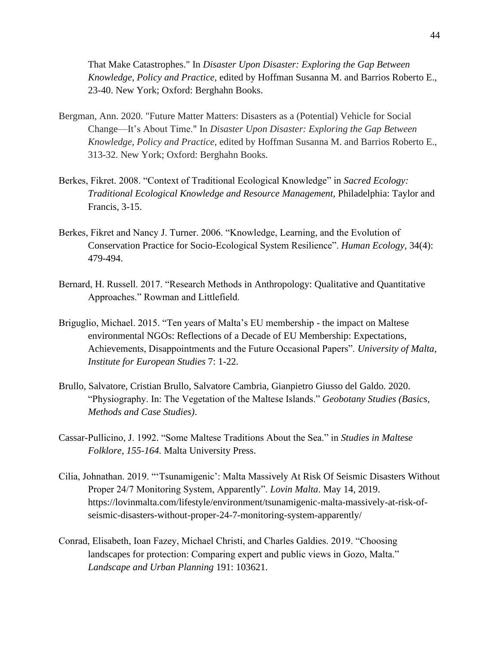That Make Catastrophes." In *Disaster Upon Disaster: Exploring the Gap Between Knowledge, Policy and Practice*, edited by Hoffman Susanna M. and Barrios Roberto E., 23-40. New York; Oxford: Berghahn Books.

- Bergman, Ann. 2020. "Future Matter Matters: Disasters as a (Potential) Vehicle for Social Change—It's About Time." In *Disaster Upon Disaster: Exploring the Gap Between Knowledge, Policy and Practice*, edited by Hoffman Susanna M. and Barrios Roberto E., 313-32. New York; Oxford: Berghahn Books.
- Berkes, Fikret. 2008. "Context of Traditional Ecological Knowledge" in *Sacred Ecology: Traditional Ecological Knowledge and Resource Management,* Philadelphia: Taylor and Francis, 3-15.
- Berkes, Fikret and Nancy J. Turner. 2006. "Knowledge, Learning, and the Evolution of Conservation Practice for Socio-Ecological System Resilience". *Human Ecology,* 34(4): 479-494.
- Bernard, H. Russell. 2017. "Research Methods in Anthropology: Qualitative and Quantitative Approaches." Rowman and Littlefield.
- Briguglio, Michael. 2015. "Ten years of Malta's EU membership the impact on Maltese environmental NGOs: Reflections of a Decade of EU Membership: Expectations, Achievements, Disappointments and the Future Occasional Papers". *University of Malta, Institute for European Studies* 7: 1-22.
- Brullo, Salvatore, Cristian Brullo, Salvatore Cambria, Gianpietro Giusso del Galdo. 2020. "Physiography. In: The Vegetation of the Maltese Islands." *Geobotany Studies (Basics, Methods and Case Studies)*.
- Cassar-Pullicino, J. 1992. "Some Maltese Traditions About the Sea." in *Studies in Maltese Folklore, 155-164.* Malta University Press.
- Cilia, Johnathan. 2019. "'Tsunamigenic': Malta Massively At Risk Of Seismic Disasters Without Proper 24/7 Monitoring System, Apparently". *Lovin Malta*. May 14, 2019. https://lovinmalta.com/lifestyle/environment/tsunamigenic-malta-massively-at-risk-ofseismic-disasters-without-proper-24-7-monitoring-system-apparently/
- Conrad, Elisabeth, Ioan Fazey, Michael Christi, and Charles Galdies. 2019. "Choosing landscapes for protection: Comparing expert and public views in Gozo, Malta." *Landscape and Urban Planning* 191: 103621.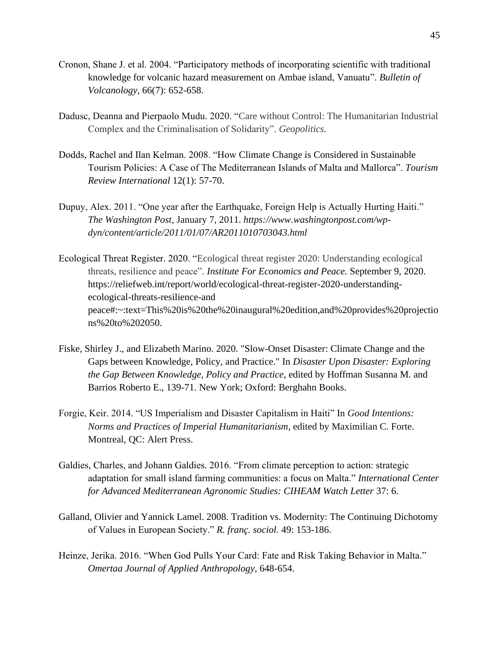- Cronon, Shane J. et al. 2004. "Participatory methods of incorporating scientific with traditional knowledge for volcanic hazard measurement on Ambae island, Vanuatu". *Bulletin of Volcanology,* 66(7): 652-658.
- Dadusc, Deanna and Pierpaolo Mudu. 2020. "Care without Control: The Humanitarian Industrial Complex and the Criminalisation of Solidarity". *Geopolitics.*
- Dodds, Rachel and Ilan Kelman. 2008. "How Climate Change is Considered in Sustainable Tourism Policies: A Case of The Mediterranean Islands of Malta and Mallorca". *Tourism Review International* 12(1): 57-70.
- Dupuy, Alex. 2011. "One year after the Earthquake, Foreign Help is Actually Hurting Haiti." *The Washington Post,* January 7, 2011. *https://www.washingtonpost.com/wpdyn/content/article/2011/01/07/AR2011010703043.html*
- Ecological Threat Register. 2020. "Ecological threat register 2020: Understanding ecological threats, resilience and peace". *Institute For Economics and Peace.* September 9, 2020. https://reliefweb.int/report/world/ecological-threat-register-2020-understandingecological-threats-resilience-and peace#:~:text=This%20is%20the%20inaugural%20edition,and%20provides%20projectio ns%20to%202050.
- Fiske, Shirley J., and Elizabeth Marino. 2020. "Slow-Onset Disaster: Climate Change and the Gaps between Knowledge, Policy, and Practice." In *Disaster Upon Disaster: Exploring the Gap Between Knowledge, Policy and Practice*, edited by Hoffman Susanna M. and Barrios Roberto E., 139-71. New York; Oxford: Berghahn Books.
- Forgie, Keir. 2014. "US Imperialism and Disaster Capitalism in Haiti" In *Good Intentions: Norms and Practices of Imperial Humanitarianism*, edited by Maximilian C. Forte. Montreal, QC: Alert Press.
- Galdies, Charles, and Johann Galdies. 2016. "From climate perception to action: strategic adaptation for small island farming communities: a focus on Malta." *International Center for Advanced Mediterranean Agronomic Studies: CIHEAM Watch Letter* 37: 6.
- Galland, Olivier and Yannick Lamel. 2008. Tradition vs. Modernity: The Continuing Dichotomy of Values in European Society." *R. franç. sociol.* 49: 153-186.
- Heinze, Jerika. 2016. "When God Pulls Your Card: Fate and Risk Taking Behavior in Malta." *Omertaa Journal of Applied Anthropology,* 648-654.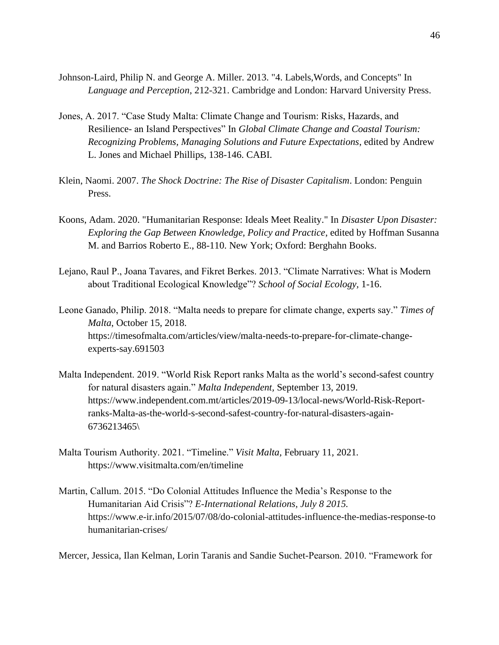- Johnson-Laird, Philip N. and George A. Miller. 2013. "4. Labels,Words, and Concepts" In *Language and Perception*, 212-321. Cambridge and London: Harvard University Press.
- Jones, A. 2017. "Case Study Malta: Climate Change and Tourism: Risks, Hazards, and Resilience- an Island Perspectives" In *Global Climate Change and Coastal Tourism: Recognizing Problems, Managing Solutions and Future Expectations*, edited by Andrew L. Jones and Michael Phillips, 138-146. CABI.
- Klein, Naomi. 2007. *The Shock Doctrine: The Rise of Disaster Capitalism*. London: Penguin Press.
- Koons, Adam. 2020. "Humanitarian Response: Ideals Meet Reality." In *Disaster Upon Disaster: Exploring the Gap Between Knowledge, Policy and Practice*, edited by Hoffman Susanna M. and Barrios Roberto E., 88-110. New York; Oxford: Berghahn Books.
- Lejano, Raul P., Joana Tavares, and Fikret Berkes. 2013. "Climate Narratives: What is Modern about Traditional Ecological Knowledge"? *School of Social Ecology,* 1-16.
- Leone Ganado, Philip. 2018. "Malta needs to prepare for climate change, experts say." *Times of Malta*, October 15, 2018. https://timesofmalta.com/articles/view/malta-needs-to-prepare-for-climate-changeexperts-say.691503
- Malta Independent. 2019. "World Risk Report ranks Malta as the world's second-safest country for natural disasters again." *Malta Independent,* September 13, 2019. https://www.independent.com.mt/articles/2019-09-13/local-news/World-Risk-Reportranks-Malta-as-the-world-s-second-safest-country-for-natural-disasters-again-6736213465\
- Malta Tourism Authority. 2021. "Timeline." *Visit Malta,* February 11, 2021*.*  https://www.visitmalta.com/en/timeline
- Martin, Callum. 2015. "Do Colonial Attitudes Influence the Media's Response to the Humanitarian Aid Crisis"? *E-International Relations, July 8 2015.* https://www.e-ir.info/2015/07/08/do-colonial-attitudes-influence-the-medias-response-to humanitarian-crises/

Mercer, Jessica, Ilan Kelman, Lorin Taranis and Sandie Suchet-Pearson. 2010. "Framework for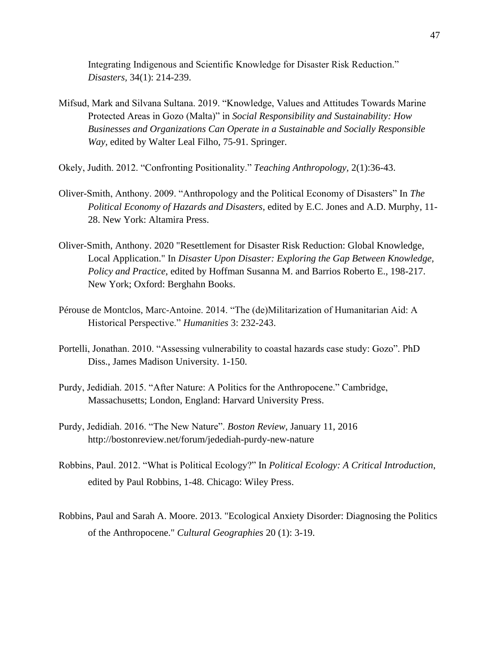Integrating Indigenous and Scientific Knowledge for Disaster Risk Reduction." *Disasters,* 34(1): 214-239.

- Mifsud, Mark and Silvana Sultana. 2019. "Knowledge, Values and Attitudes Towards Marine Protected Areas in Gozo (Malta)" in *Social Responsibility and Sustainability: How Businesses and Organizations Can Operate in a Sustainable and Socially Responsible Way,* edited by Walter Leal Filho, 75-91. Springer.
- Okely, Judith. 2012. "Confronting Positionality." *Teaching Anthropology,* 2(1):36-43.
- Oliver-Smith, Anthony. 2009. "Anthropology and the Political Economy of Disasters" In *The Political Economy of Hazards and Disasters,* edited by E.C. Jones and A.D. Murphy, 11- 28. New York: Altamira Press.
- Oliver-Smith, Anthony. 2020 "Resettlement for Disaster Risk Reduction: Global Knowledge, Local Application." In *Disaster Upon Disaster: Exploring the Gap Between Knowledge, Policy and Practice*, edited by Hoffman Susanna M. and Barrios Roberto E., 198-217. New York; Oxford: Berghahn Books.
- Pérouse de Montclos, Marc-Antoine. 2014. "The (de)Militarization of Humanitarian Aid: A Historical Perspective." *Humanities* 3: 232-243.
- Portelli, Jonathan. 2010. "Assessing vulnerability to coastal hazards case study: Gozo". PhD Diss., James Madison University*.* 1-150.
- Purdy, Jedidiah. 2015. "After Nature: A Politics for the Anthropocene." Cambridge, Massachusetts; London, England: Harvard University Press.
- Purdy, Jedidiah. 2016. "The New Nature". *Boston Review,* January 11, 2016 http://bostonreview.net/forum/jedediah-purdy-new-nature
- Robbins, Paul. 2012. "What is Political Ecology?" In *Political Ecology: A Critical Introduction*, edited by Paul Robbins, 1-48. Chicago: Wiley Press.
- Robbins, Paul and Sarah A. Moore. 2013. "Ecological Anxiety Disorder: Diagnosing the Politics of the Anthropocene." *Cultural Geographies* 20 (1): 3-19.